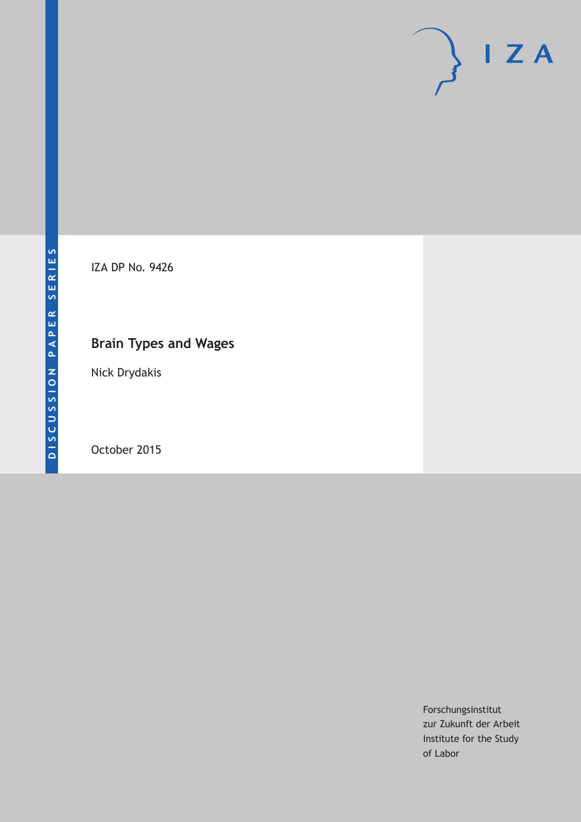

IZA DP No. 9426

## **Brain Types and Wages**

Nick Drydakis

October 2015

Forschungsinstitut zur Zukunft der Arbeit Institute for the Study of Labor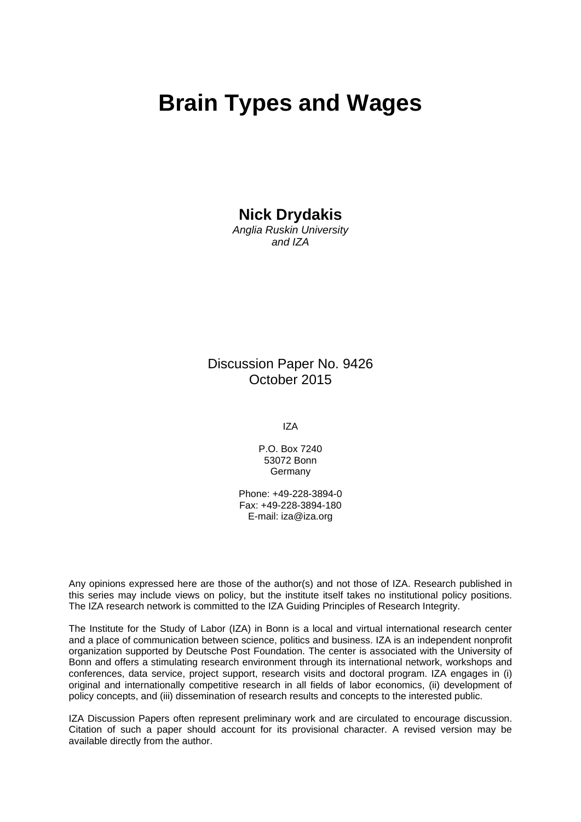## **Brain Types and Wages**

### **Nick Drydakis**

*Anglia Ruskin University and IZA* 

Discussion Paper No. 9426 October 2015

IZA

P.O. Box 7240 53072 Bonn **Germany** 

Phone: +49-228-3894-0 Fax: +49-228-3894-180 E-mail: iza@iza.org

Any opinions expressed here are those of the author(s) and not those of IZA. Research published in this series may include views on policy, but the institute itself takes no institutional policy positions. The IZA research network is committed to the IZA Guiding Principles of Research Integrity.

The Institute for the Study of Labor (IZA) in Bonn is a local and virtual international research center and a place of communication between science, politics and business. IZA is an independent nonprofit organization supported by Deutsche Post Foundation. The center is associated with the University of Bonn and offers a stimulating research environment through its international network, workshops and conferences, data service, project support, research visits and doctoral program. IZA engages in (i) original and internationally competitive research in all fields of labor economics, (ii) development of policy concepts, and (iii) dissemination of research results and concepts to the interested public.

IZA Discussion Papers often represent preliminary work and are circulated to encourage discussion. Citation of such a paper should account for its provisional character. A revised version may be available directly from the author.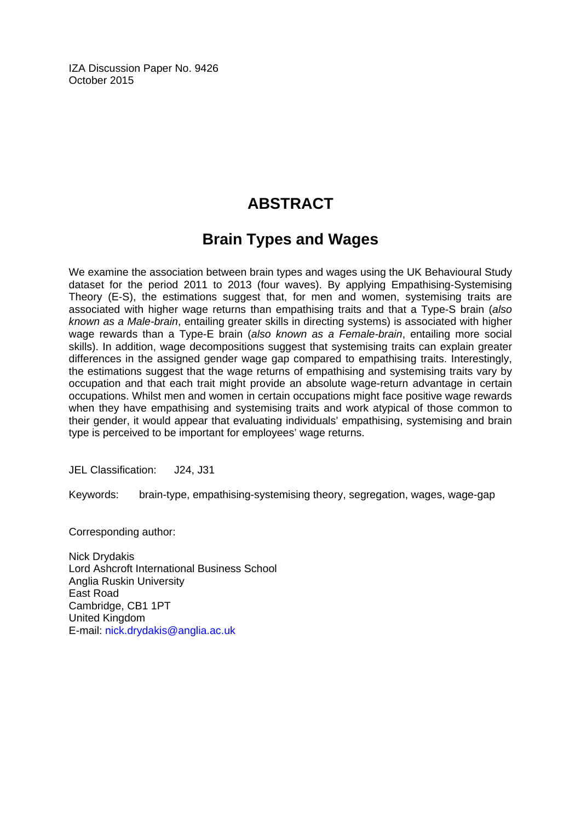IZA Discussion Paper No. 9426 October 2015

## **ABSTRACT**

## **Brain Types and Wages**

We examine the association between brain types and wages using the UK Behavioural Study dataset for the period 2011 to 2013 (four waves). By applying Empathising-Systemising Theory (E-S), the estimations suggest that, for men and women, systemising traits are associated with higher wage returns than empathising traits and that a Type-S brain (*also known as a Male-brain*, entailing greater skills in directing systems) is associated with higher wage rewards than a Type-E brain (*also known as a Female-brain*, entailing more social skills). In addition, wage decompositions suggest that systemising traits can explain greater differences in the assigned gender wage gap compared to empathising traits. Interestingly, the estimations suggest that the wage returns of empathising and systemising traits vary by occupation and that each trait might provide an absolute wage-return advantage in certain occupations. Whilst men and women in certain occupations might face positive wage rewards when they have empathising and systemising traits and work atypical of those common to their gender, it would appear that evaluating individuals' empathising, systemising and brain type is perceived to be important for employees' wage returns.

JEL Classification: J24, J31

Keywords: brain-type, empathising-systemising theory, segregation, wages, wage-gap

Corresponding author:

Nick Drydakis Lord Ashcroft International Business School Anglia Ruskin University East Road Cambridge, CB1 1PT United Kingdom E-mail: nick.drydakis@anglia.ac.uk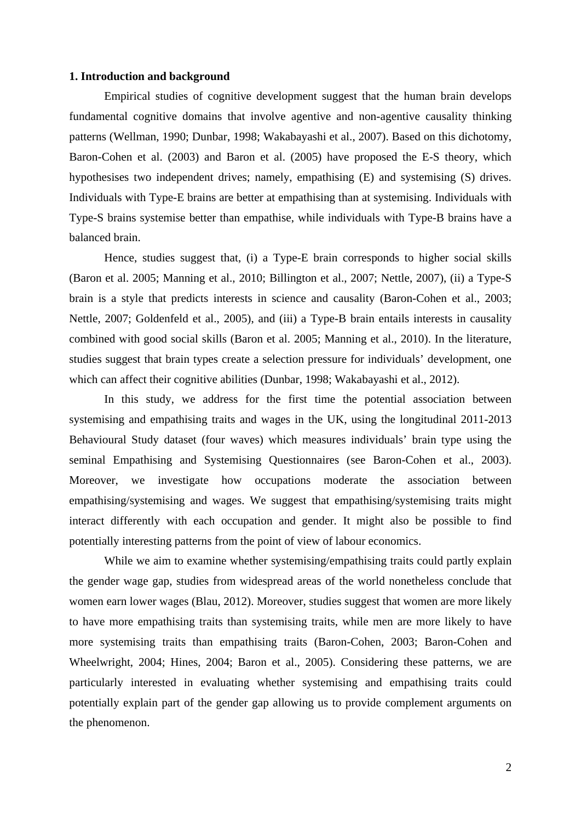#### **1. Introduction and background**

Empirical studies of cognitive development suggest that the human brain develops fundamental cognitive domains that involve agentive and non-agentive causality thinking patterns (Wellman, 1990; Dunbar, 1998; Wakabayashi et al., 2007). Based on this dichotomy, Baron-Cohen et al. (2003) and Baron et al. (2005) have proposed the E-S theory, which hypothesises two independent drives; namely, empathising (E) and systemising (S) drives. Individuals with Type-E brains are better at empathising than at systemising. Individuals with Type-S brains systemise better than empathise, while individuals with Type-B brains have a balanced brain.

Hence, studies suggest that, (i) a Type-E brain corresponds to higher social skills (Baron et al. 2005; Manning et al., 2010; Billington et al., 2007; Nettle, 2007), (ii) a Type-S brain is a style that predicts interests in science and causality (Baron-Cohen et al., 2003; Nettle, 2007; Goldenfeld et al., 2005), and (iii) a Type-B brain entails interests in causality combined with good social skills (Baron et al. 2005; Manning et al., 2010). In the literature, studies suggest that brain types create a selection pressure for individuals' development, one which can affect their cognitive abilities (Dunbar, 1998; Wakabayashi et al., 2012).

In this study, we address for the first time the potential association between systemising and empathising traits and wages in the UK, using the longitudinal 2011-2013 Behavioural Study dataset (four waves) which measures individuals' brain type using the seminal Empathising and Systemising Questionnaires (see Baron-Cohen et al., 2003). Moreover, we investigate how occupations moderate the association between empathising/systemising and wages. We suggest that empathising/systemising traits might interact differently with each occupation and gender. It might also be possible to find potentially interesting patterns from the point of view of labour economics.

While we aim to examine whether systemising/empathising traits could partly explain the gender wage gap, studies from widespread areas of the world nonetheless conclude that women earn lower wages (Blau, 2012). Moreover, studies suggest that women are more likely to have more empathising traits than systemising traits, while men are more likely to have more systemising traits than empathising traits (Baron-Cohen, 2003; Baron-Cohen and Wheelwright, 2004; Hines, 2004; Baron et al., 2005). Considering these patterns, we are particularly interested in evaluating whether systemising and empathising traits could potentially explain part of the gender gap allowing us to provide complement arguments on the phenomenon.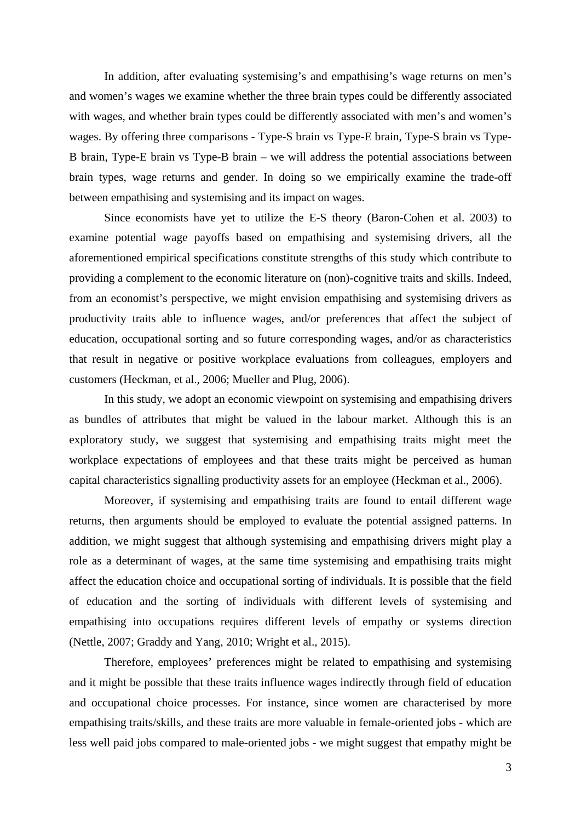In addition, after evaluating systemising's and empathising's wage returns on men's and women's wages we examine whether the three brain types could be differently associated with wages, and whether brain types could be differently associated with men's and women's wages. By offering three comparisons - Type-S brain vs Type-E brain, Type-S brain vs Type-B brain, Type-E brain vs Type-B brain – we will address the potential associations between brain types, wage returns and gender. In doing so we empirically examine the trade-off between empathising and systemising and its impact on wages.

Since economists have yet to utilize the E-S theory (Baron-Cohen et al. 2003) to examine potential wage payoffs based on empathising and systemising drivers, all the aforementioned empirical specifications constitute strengths of this study which contribute to providing a complement to the economic literature on (non)-cognitive traits and skills. Indeed, from an economist's perspective, we might envision empathising and systemising drivers as productivity traits able to influence wages, and/or preferences that affect the subject of education, occupational sorting and so future corresponding wages, and/or as characteristics that result in negative or positive workplace evaluations from colleagues, employers and customers (Heckman, et al., 2006; Mueller and Plug, 2006).

In this study, we adopt an economic viewpoint on systemising and empathising drivers as bundles of attributes that might be valued in the labour market. Although this is an exploratory study, we suggest that systemising and empathising traits might meet the workplace expectations of employees and that these traits might be perceived as human capital characteristics signalling productivity assets for an employee (Heckman et al., 2006).

Moreover, if systemising and empathising traits are found to entail different wage returns, then arguments should be employed to evaluate the potential assigned patterns. In addition, we might suggest that although systemising and empathising drivers might play a role as a determinant of wages, at the same time systemising and empathising traits might affect the education choice and occupational sorting of individuals. It is possible that the field of education and the sorting of individuals with different levels of systemising and empathising into occupations requires different levels of empathy or systems direction (Nettle, 2007; Graddy and Yang, 2010; Wright et al., 2015).

Therefore, employees' preferences might be related to empathising and systemising and it might be possible that these traits influence wages indirectly through field of education and occupational choice processes. For instance, since women are characterised by more empathising traits/skills, and these traits are more valuable in female-oriented jobs - which are less well paid jobs compared to male-oriented jobs - we might suggest that empathy might be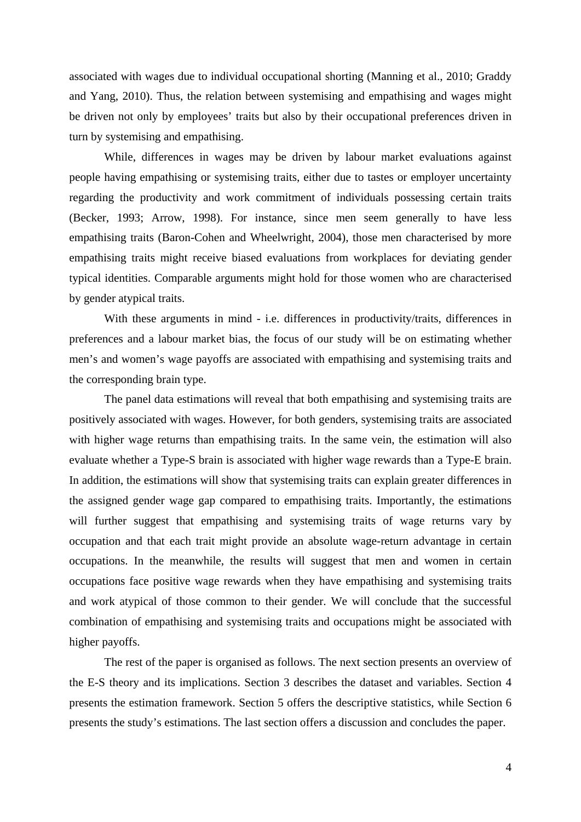associated with wages due to individual occupational shorting (Manning et al., 2010; Graddy and Yang, 2010). Thus, the relation between systemising and empathising and wages might be driven not only by employees' traits but also by their occupational preferences driven in turn by systemising and empathising.

While, differences in wages may be driven by labour market evaluations against people having empathising or systemising traits, either due to tastes or employer uncertainty regarding the productivity and work commitment of individuals possessing certain traits (Becker, 1993; Arrow, 1998). For instance, since men seem generally to have less empathising traits (Baron-Cohen and Wheelwright, 2004), those men characterised by more empathising traits might receive biased evaluations from workplaces for deviating gender typical identities. Comparable arguments might hold for those women who are characterised by gender atypical traits.

With these arguments in mind - i.e. differences in productivity/traits, differences in preferences and a labour market bias, the focus of our study will be on estimating whether men's and women's wage payoffs are associated with empathising and systemising traits and the corresponding brain type.

The panel data estimations will reveal that both empathising and systemising traits are positively associated with wages. However, for both genders, systemising traits are associated with higher wage returns than empathising traits. In the same vein, the estimation will also evaluate whether a Type-S brain is associated with higher wage rewards than a Type-E brain. In addition, the estimations will show that systemising traits can explain greater differences in the assigned gender wage gap compared to empathising traits. Importantly, the estimations will further suggest that empathising and systemising traits of wage returns vary by occupation and that each trait might provide an absolute wage-return advantage in certain occupations. In the meanwhile, the results will suggest that men and women in certain occupations face positive wage rewards when they have empathising and systemising traits and work atypical of those common to their gender. We will conclude that the successful combination of empathising and systemising traits and occupations might be associated with higher payoffs.

The rest of the paper is organised as follows. The next section presents an overview of the E-S theory and its implications. Section 3 describes the dataset and variables. Section 4 presents the estimation framework. Section 5 offers the descriptive statistics, while Section 6 presents the study's estimations. The last section offers a discussion and concludes the paper.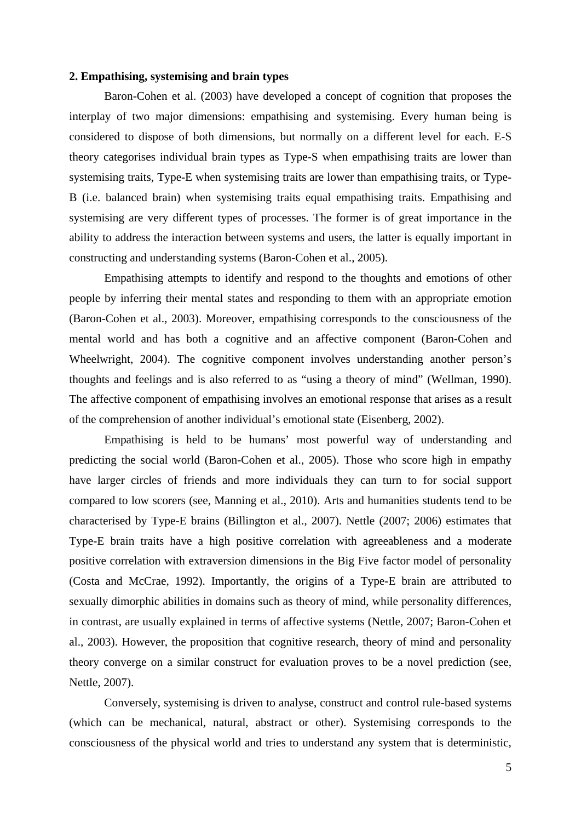#### **2. Empathising, systemising and brain types**

Baron-Cohen et al. (2003) have developed a concept of cognition that proposes the interplay of two major dimensions: empathising and systemising. Every human being is considered to dispose of both dimensions, but normally on a different level for each. E-S theory categorises individual brain types as Type-S when empathising traits are lower than systemising traits, Type-E when systemising traits are lower than empathising traits, or Type-B (i.e. balanced brain) when systemising traits equal empathising traits. Empathising and systemising are very different types of processes. The former is of great importance in the ability to address the interaction between systems and users, the latter is equally important in constructing and understanding systems (Baron-Cohen et al., 2005).

Empathising attempts to identify and respond to the thoughts and emotions of other people by inferring their mental states and responding to them with an appropriate emotion (Baron-Cohen et al., 2003). Moreover, empathising corresponds to the consciousness of the mental world and has both a cognitive and an affective component (Baron-Cohen and Wheelwright, 2004). The cognitive component involves understanding another person's thoughts and feelings and is also referred to as "using a theory of mind" (Wellman, 1990). The affective component of empathising involves an emotional response that arises as a result of the comprehension of another individual's emotional state (Eisenberg, 2002).

Empathising is held to be humans' most powerful way of understanding and predicting the social world (Baron-Cohen et al., 2005). Those who score high in empathy have larger circles of friends and more individuals they can turn to for social support compared to low scorers (see, Manning et al., 2010). Arts and humanities students tend to be characterised by Type-E brains (Billington et al., 2007). Nettle (2007; 2006) estimates that Type-E brain traits have a high positive correlation with agreeableness and a moderate positive correlation with extraversion dimensions in the Big Five factor model of personality (Costa and McCrae, 1992). Importantly, the origins of a Type-E brain are attributed to sexually dimorphic abilities in domains such as theory of mind, while personality differences, in contrast, are usually explained in terms of affective systems (Nettle, 2007; Baron-Cohen et al., 2003). However, the proposition that cognitive research, theory of mind and personality theory converge on a similar construct for evaluation proves to be a novel prediction (see, Nettle, 2007).

Conversely, systemising is driven to analyse, construct and control rule-based systems (which can be mechanical, natural, abstract or other). Systemising corresponds to the consciousness of the physical world and tries to understand any system that is deterministic,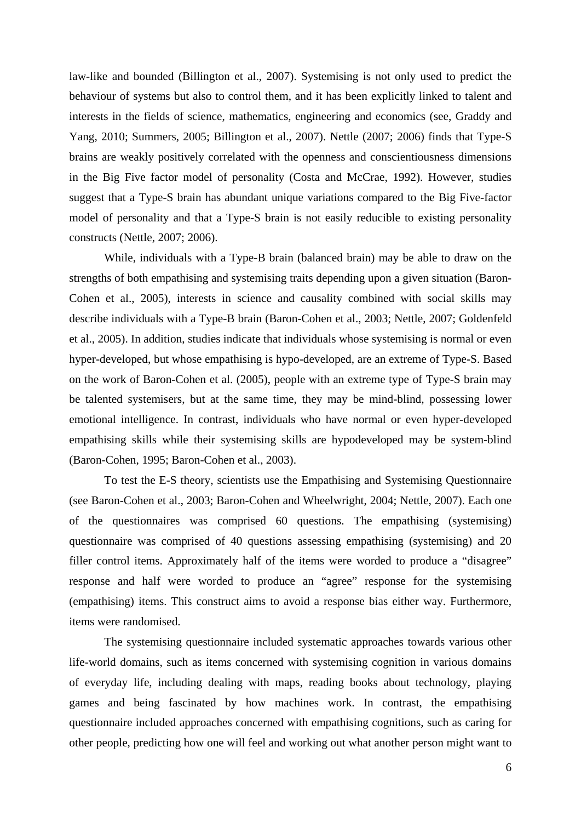law-like and bounded (Billington et al., 2007). Systemising is not only used to predict the behaviour of systems but also to control them, and it has been explicitly linked to talent and interests in the fields of science, mathematics, engineering and economics (see, Graddy and Yang, 2010; Summers, 2005; Billington et al., 2007). Nettle (2007; 2006) finds that Type-S brains are weakly positively correlated with the openness and conscientiousness dimensions in the Big Five factor model of personality (Costa and McCrae, 1992). However, studies suggest that a Type-S brain has abundant unique variations compared to the Big Five-factor model of personality and that a Type-S brain is not easily reducible to existing personality constructs (Nettle, 2007; 2006).

While, individuals with a Type-B brain (balanced brain) may be able to draw on the strengths of both empathising and systemising traits depending upon a given situation (Baron-Cohen et al., 2005), interests in science and causality combined with social skills may describe individuals with a Type-B brain (Baron-Cohen et al., 2003; Nettle, 2007; Goldenfeld et al., 2005). In addition, studies indicate that individuals whose systemising is normal or even hyper-developed, but whose empathising is hypo-developed, are an extreme of Type-S. Based on the work of Baron-Cohen et al. (2005), people with an extreme type of Type-S brain may be talented systemisers, but at the same time, they may be mind-blind, possessing lower emotional intelligence. In contrast, individuals who have normal or even hyper-developed empathising skills while their systemising skills are hypodeveloped may be system-blind (Baron-Cohen, 1995; Baron-Cohen et al., 2003).

To test the E-S theory, scientists use the Empathising and Systemising Questionnaire (see Baron-Cohen et al., 2003; Baron-Cohen and Wheelwright, 2004; Nettle, 2007). Each one of the questionnaires was comprised 60 questions. The empathising (systemising) questionnaire was comprised of 40 questions assessing empathising (systemising) and 20 filler control items. Approximately half of the items were worded to produce a "disagree" response and half were worded to produce an "agree" response for the systemising (empathising) items. This construct aims to avoid a response bias either way. Furthermore, items were randomised.

The systemising questionnaire included systematic approaches towards various other life-world domains, such as items concerned with systemising cognition in various domains of everyday life, including dealing with maps, reading books about technology, playing games and being fascinated by how machines work. In contrast, the empathising questionnaire included approaches concerned with empathising cognitions, such as caring for other people, predicting how one will feel and working out what another person might want to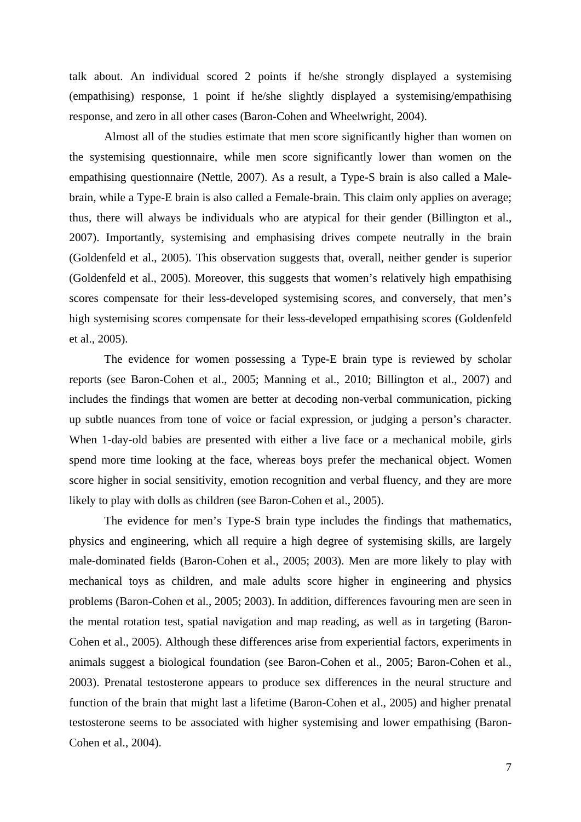talk about. An individual scored 2 points if he/she strongly displayed a systemising (empathising) response, 1 point if he/she slightly displayed a systemising/empathising response, and zero in all other cases (Baron-Cohen and Wheelwright, 2004).

Almost all of the studies estimate that men score significantly higher than women on the systemising questionnaire, while men score significantly lower than women on the empathising questionnaire (Nettle, 2007). As a result, a Type-S brain is also called a Malebrain, while a Type-E brain is also called a Female-brain. This claim only applies on average; thus, there will always be individuals who are atypical for their gender (Billington et al., 2007). Importantly, systemising and emphasising drives compete neutrally in the brain (Goldenfeld et al., 2005). This observation suggests that, overall, neither gender is superior (Goldenfeld et al., 2005). Moreover, this suggests that women's relatively high empathising scores compensate for their less-developed systemising scores, and conversely, that men's high systemising scores compensate for their less-developed empathising scores (Goldenfeld et al., 2005).

The evidence for women possessing a Type-E brain type is reviewed by scholar reports (see Baron-Cohen et al., 2005; Manning et al., 2010; Billington et al., 2007) and includes the findings that women are better at decoding non-verbal communication, picking up subtle nuances from tone of voice or facial expression, or judging a person's character. When 1-day-old babies are presented with either a live face or a mechanical mobile, girls spend more time looking at the face, whereas boys prefer the mechanical object. Women score higher in social sensitivity, emotion recognition and verbal fluency, and they are more likely to play with dolls as children (see Baron-Cohen et al., 2005).

The evidence for men's Type-S brain type includes the findings that mathematics, physics and engineering, which all require a high degree of systemising skills, are largely male-dominated fields (Baron-Cohen et al., 2005; 2003). Men are more likely to play with mechanical toys as children, and male adults score higher in engineering and physics problems (Baron-Cohen et al., 2005; 2003). In addition, differences favouring men are seen in the mental rotation test, spatial navigation and map reading, as well as in targeting (Baron-Cohen et al., 2005). Although these differences arise from experiential factors, experiments in animals suggest a biological foundation (see Baron-Cohen et al., 2005; Baron-Cohen et al., 2003). Prenatal testosterone appears to produce sex differences in the neural structure and function of the brain that might last a lifetime (Baron-Cohen et al., 2005) and higher prenatal testosterone seems to be associated with higher systemising and lower empathising (Baron-Cohen et al., 2004).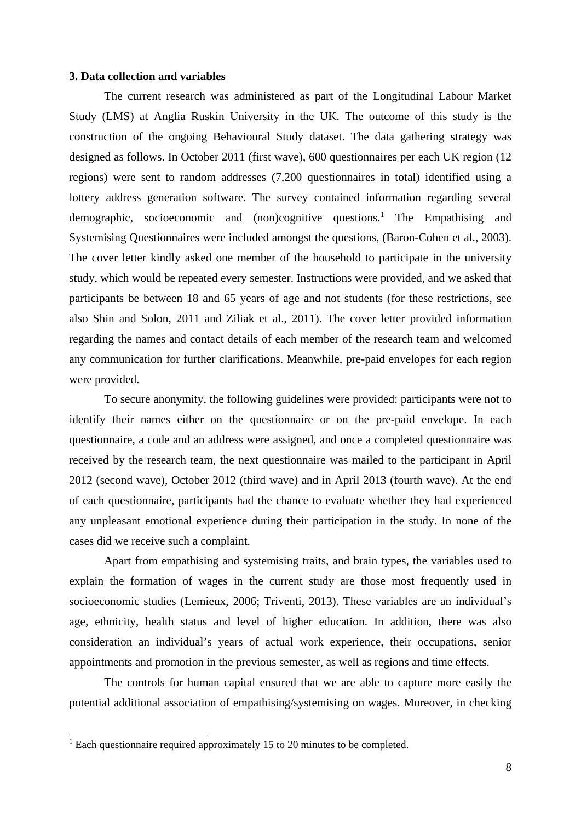#### **3. Data collection and variables**

The current research was administered as part of the Longitudinal Labour Market Study (LMS) at Anglia Ruskin University in the UK. The outcome of this study is the construction of the ongoing Behavioural Study dataset. The data gathering strategy was designed as follows. In October 2011 (first wave), 600 questionnaires per each UK region (12 regions) were sent to random addresses (7,200 questionnaires in total) identified using a lottery address generation software. The survey contained information regarding several demographic, socioeconomic and (non)cognitive questions.<sup>1</sup> The Empathising and Systemising Questionnaires were included amongst the questions, (Baron-Cohen et al., 2003). The cover letter kindly asked one member of the household to participate in the university study, which would be repeated every semester. Instructions were provided, and we asked that participants be between 18 and 65 years of age and not students (for these restrictions, see also Shin and Solon, 2011 and Ziliak et al., 2011). The cover letter provided information regarding the names and contact details of each member of the research team and welcomed any communication for further clarifications. Meanwhile, pre-paid envelopes for each region were provided.

To secure anonymity, the following guidelines were provided: participants were not to identify their names either on the questionnaire or on the pre-paid envelope. In each questionnaire, a code and an address were assigned, and once a completed questionnaire was received by the research team, the next questionnaire was mailed to the participant in April 2012 (second wave), October 2012 (third wave) and in April 2013 (fourth wave). At the end of each questionnaire, participants had the chance to evaluate whether they had experienced any unpleasant emotional experience during their participation in the study. In none of the cases did we receive such a complaint.

Apart from empathising and systemising traits, and brain types, the variables used to explain the formation of wages in the current study are those most frequently used in socioeconomic studies (Lemieux, 2006; Triventi, 2013). These variables are an individual's age, ethnicity, health status and level of higher education. In addition, there was also consideration an individual's years of actual work experience, their occupations, senior appointments and promotion in the previous semester, as well as regions and time effects.

The controls for human capital ensured that we are able to capture more easily the potential additional association of empathising/systemising on wages. Moreover, in checking

1

<sup>&</sup>lt;sup>1</sup> Each questionnaire required approximately 15 to 20 minutes to be completed.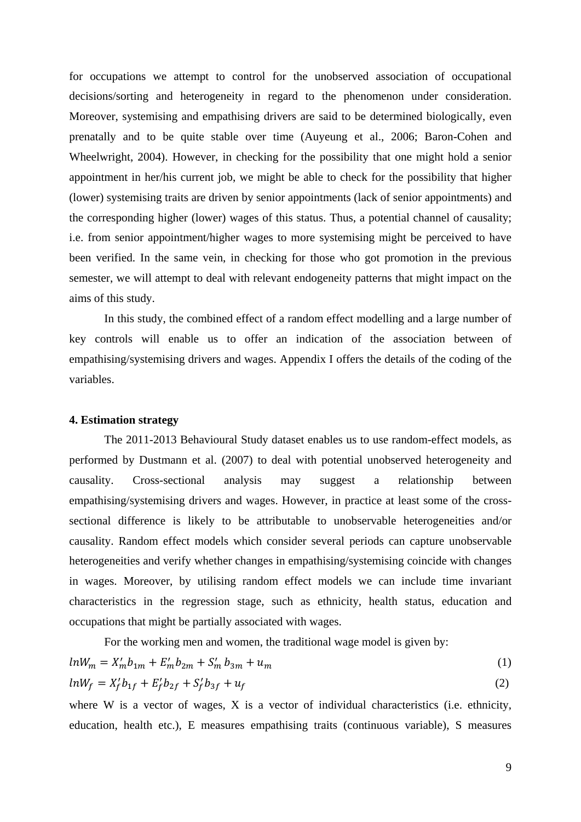for occupations we attempt to control for the unobserved association of occupational decisions/sorting and heterogeneity in regard to the phenomenon under consideration. Moreover, systemising and empathising drivers are said to be determined biologically, even prenatally and to be quite stable over time (Auyeung et al., 2006; Baron-Cohen and Wheelwright, 2004). However, in checking for the possibility that one might hold a senior appointment in her/his current job, we might be able to check for the possibility that higher (lower) systemising traits are driven by senior appointments (lack of senior appointments) and the corresponding higher (lower) wages of this status. Thus, a potential channel of causality; i.e. from senior appointment/higher wages to more systemising might be perceived to have been verified. In the same vein, in checking for those who got promotion in the previous semester, we will attempt to deal with relevant endogeneity patterns that might impact on the aims of this study.

In this study, the combined effect of a random effect modelling and a large number of key controls will enable us to offer an indication of the association between of empathising/systemising drivers and wages. Appendix I offers the details of the coding of the variables.

#### **4. Estimation strategy**

The 2011-2013 Behavioural Study dataset enables us to use random-effect models, as performed by Dustmann et al. (2007) to deal with potential unobserved heterogeneity and causality. Cross-sectional analysis may suggest a relationship between empathising/systemising drivers and wages. However, in practice at least some of the crosssectional difference is likely to be attributable to unobservable heterogeneities and/or causality. Random effect models which consider several periods can capture unobservable heterogeneities and verify whether changes in empathising/systemising coincide with changes in wages. Moreover, by utilising random effect models we can include time invariant characteristics in the regression stage, such as ethnicity, health status, education and occupations that might be partially associated with wages.

For the working men and women, the traditional wage model is given by:

$$
ln W_m = X'_m b_{1m} + E'_m b_{2m} + S'_m b_{3m} + u_m
$$
\n(1)

$$
ln W_f = X_f' b_{1f} + E_f' b_{2f} + S_f' b_{3f} + u_f
$$
 (2)

where W is a vector of wages, X is a vector of individual characteristics (i.e. ethnicity, education, health etc.), E measures empathising traits (continuous variable), S measures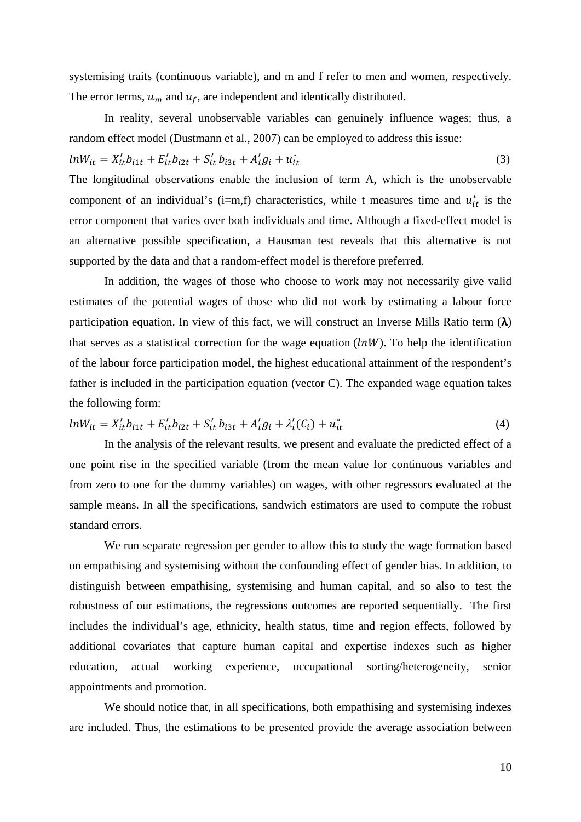systemising traits (continuous variable), and m and f refer to men and women, respectively. The error terms,  $u_m$  and  $u_f$ , are independent and identically distributed.

In reality, several unobservable variables can genuinely influence wages; thus, a random effect model (Dustmann et al., 2007) can be employed to address this issue:

$$
lnW_{it} = X'_{it}b_{i1t} + E'_{it}b_{i2t} + S'_{it}b_{i3t} + A'_{i}g_{i} + u^{*}_{it}
$$
\n(3)

The longitudinal observations enable the inclusion of term A, which is the unobservable component of an individual's (i=m,f) characteristics, while t measures time and  $u_{it}^*$  is the error component that varies over both individuals and time. Although a fixed-effect model is an alternative possible specification, a Hausman test reveals that this alternative is not supported by the data and that a random-effect model is therefore preferred.

In addition, the wages of those who choose to work may not necessarily give valid estimates of the potential wages of those who did not work by estimating a labour force participation equation. In view of this fact, we will construct an Inverse Mills Ratio term  $(\lambda)$ that serves as a statistical correction for the wage equation  $(\ln W)$ . To help the identification of the labour force participation model, the highest educational attainment of the respondent's father is included in the participation equation (vector C). The expanded wage equation takes the following form:

$$
ln W_{it} = X'_{it} b_{i1t} + E'_{it} b_{i2t} + S'_{it} b_{i3t} + A'_{i} g_{i} + \lambda'_{i} (C_{i}) + u^{*}_{it}
$$
\n
$$
\tag{4}
$$

In the analysis of the relevant results, we present and evaluate the predicted effect of a one point rise in the specified variable (from the mean value for continuous variables and from zero to one for the dummy variables) on wages, with other regressors evaluated at the sample means. In all the specifications, sandwich estimators are used to compute the robust standard errors.

We run separate regression per gender to allow this to study the wage formation based on empathising and systemising without the confounding effect of gender bias. In addition, to distinguish between empathising, systemising and human capital, and so also to test the robustness of our estimations, the regressions outcomes are reported sequentially. The first includes the individual's age, ethnicity, health status, time and region effects, followed by additional covariates that capture human capital and expertise indexes such as higher education, actual working experience, occupational sorting/heterogeneity, senior appointments and promotion.

We should notice that, in all specifications, both empathising and systemising indexes are included. Thus, the estimations to be presented provide the average association between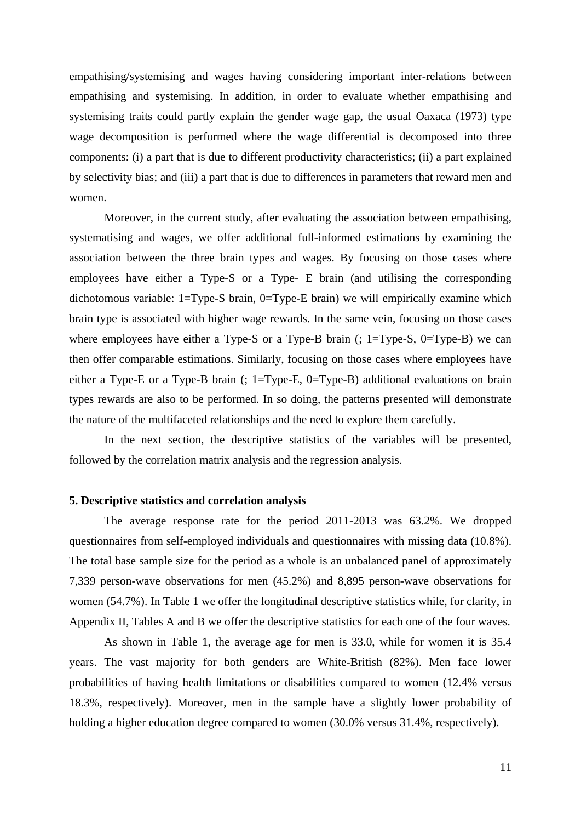empathising/systemising and wages having considering important inter-relations between empathising and systemising. In addition, in order to evaluate whether empathising and systemising traits could partly explain the gender wage gap, the usual Oaxaca (1973) type wage decomposition is performed where the wage differential is decomposed into three components: (i) a part that is due to different productivity characteristics; (ii) a part explained by selectivity bias; and (iii) a part that is due to differences in parameters that reward men and women.

Moreover, in the current study, after evaluating the association between empathising, systematising and wages, we offer additional full-informed estimations by examining the association between the three brain types and wages. By focusing on those cases where employees have either a Type-S or a Type- E brain (and utilising the corresponding dichotomous variable: 1=Type-S brain, 0=Type-E brain) we will empirically examine which brain type is associated with higher wage rewards. In the same vein, focusing on those cases where employees have either a Type-S or a Type-B brain  $($ ; 1=Type-S, 0=Type-B) we can then offer comparable estimations. Similarly, focusing on those cases where employees have either a Type-E or a Type-B brain (; 1=Type-E, 0=Type-B) additional evaluations on brain types rewards are also to be performed. In so doing, the patterns presented will demonstrate the nature of the multifaceted relationships and the need to explore them carefully.

In the next section, the descriptive statistics of the variables will be presented, followed by the correlation matrix analysis and the regression analysis.

#### **5. Descriptive statistics and correlation analysis**

The average response rate for the period 2011-2013 was 63.2%. We dropped questionnaires from self-employed individuals and questionnaires with missing data (10.8%). The total base sample size for the period as a whole is an unbalanced panel of approximately 7,339 person-wave observations for men (45.2%) and 8,895 person-wave observations for women (54.7%). In Table 1 we offer the longitudinal descriptive statistics while, for clarity, in Appendix II, Tables A and B we offer the descriptive statistics for each one of the four waves.

As shown in Table 1, the average age for men is 33.0, while for women it is 35.4 years. The vast majority for both genders are White-British (82%). Men face lower probabilities of having health limitations or disabilities compared to women (12.4% versus 18.3%, respectively). Moreover, men in the sample have a slightly lower probability of holding a higher education degree compared to women (30.0% versus 31.4%, respectively).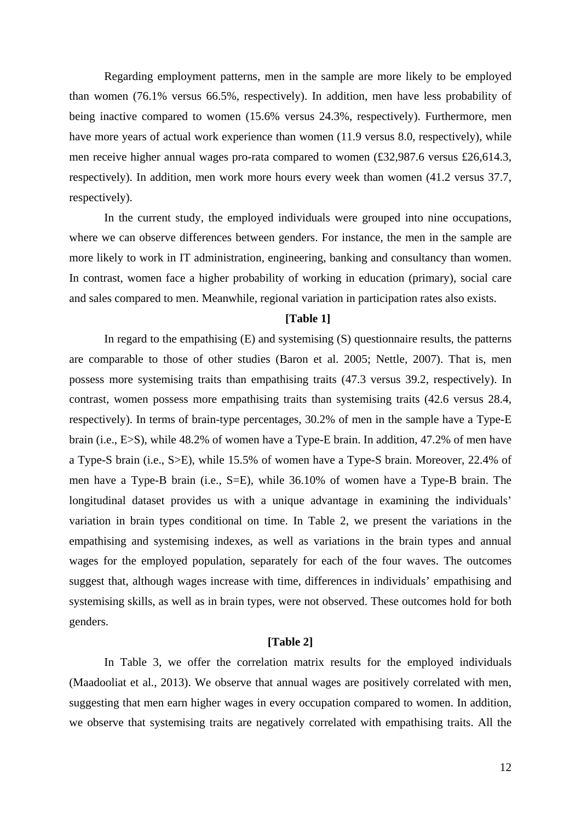Regarding employment patterns, men in the sample are more likely to be employed than women (76.1% versus 66.5%, respectively). In addition, men have less probability of being inactive compared to women (15.6% versus 24.3%, respectively). Furthermore, men have more years of actual work experience than women (11.9 versus 8.0, respectively), while men receive higher annual wages pro-rata compared to women (£32,987.6 versus £26,614.3, respectively). In addition, men work more hours every week than women (41.2 versus 37.7, respectively).

In the current study, the employed individuals were grouped into nine occupations, where we can observe differences between genders. For instance, the men in the sample are more likely to work in IT administration, engineering, banking and consultancy than women. In contrast, women face a higher probability of working in education (primary), social care and sales compared to men. Meanwhile, regional variation in participation rates also exists.

#### **[Table 1]**

In regard to the empathising  $(E)$  and systemising  $(S)$  questionnaire results, the patterns are comparable to those of other studies (Baron et al. 2005; Nettle, 2007). That is, men possess more systemising traits than empathising traits (47.3 versus 39.2, respectively). In contrast, women possess more empathising traits than systemising traits (42.6 versus 28.4, respectively). In terms of brain-type percentages, 30.2% of men in the sample have a Type-E brain (i.e., E>S), while 48.2% of women have a Type-E brain. In addition, 47.2% of men have a Type-S brain (i.e., S>E), while 15.5% of women have a Type-S brain. Moreover, 22.4% of men have a Type-B brain (i.e., S=E), while 36.10% of women have a Type-B brain. The longitudinal dataset provides us with a unique advantage in examining the individuals' variation in brain types conditional on time. In Table 2, we present the variations in the empathising and systemising indexes, as well as variations in the brain types and annual wages for the employed population, separately for each of the four waves. The outcomes suggest that, although wages increase with time, differences in individuals' empathising and systemising skills, as well as in brain types, were not observed. These outcomes hold for both genders.

#### **[Table 2]**

 In Table 3, we offer the correlation matrix results for the employed individuals (Maadooliat et al., 2013). We observe that annual wages are positively correlated with men, suggesting that men earn higher wages in every occupation compared to women. In addition, we observe that systemising traits are negatively correlated with empathising traits. All the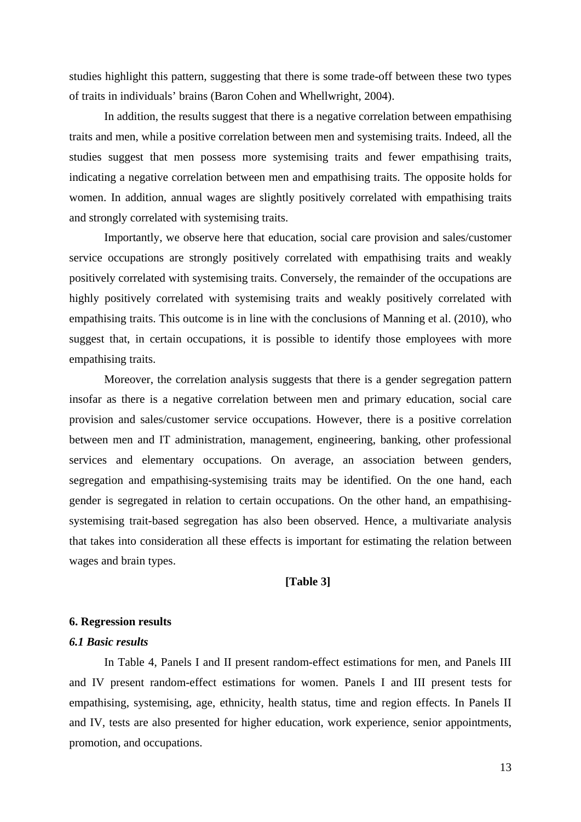studies highlight this pattern, suggesting that there is some trade-off between these two types of traits in individuals' brains (Baron Cohen and Whellwright, 2004).

In addition, the results suggest that there is a negative correlation between empathising traits and men, while a positive correlation between men and systemising traits. Indeed, all the studies suggest that men possess more systemising traits and fewer empathising traits, indicating a negative correlation between men and empathising traits. The opposite holds for women. In addition, annual wages are slightly positively correlated with empathising traits and strongly correlated with systemising traits.

Importantly, we observe here that education, social care provision and sales/customer service occupations are strongly positively correlated with empathising traits and weakly positively correlated with systemising traits. Conversely, the remainder of the occupations are highly positively correlated with systemising traits and weakly positively correlated with empathising traits. This outcome is in line with the conclusions of Manning et al. (2010), who suggest that, in certain occupations, it is possible to identify those employees with more empathising traits.

Moreover, the correlation analysis suggests that there is a gender segregation pattern insofar as there is a negative correlation between men and primary education, social care provision and sales/customer service occupations. However, there is a positive correlation between men and IT administration, management, engineering, banking, other professional services and elementary occupations. On average, an association between genders, segregation and empathising-systemising traits may be identified. On the one hand, each gender is segregated in relation to certain occupations. On the other hand, an empathisingsystemising trait-based segregation has also been observed. Hence, a multivariate analysis that takes into consideration all these effects is important for estimating the relation between wages and brain types.

#### **[Table 3]**

#### **6. Regression results**

#### *6.1 Basic results*

In Table 4, Panels I and II present random-effect estimations for men, and Panels III and IV present random-effect estimations for women. Panels I and III present tests for empathising, systemising, age, ethnicity, health status, time and region effects. In Panels II and IV, tests are also presented for higher education, work experience, senior appointments, promotion, and occupations.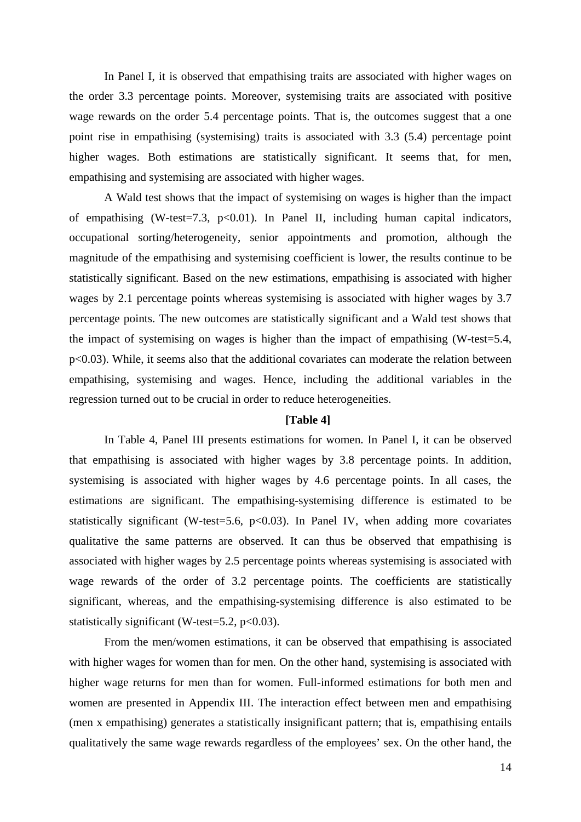In Panel I, it is observed that empathising traits are associated with higher wages on the order 3.3 percentage points. Moreover, systemising traits are associated with positive wage rewards on the order 5.4 percentage points. That is, the outcomes suggest that a one point rise in empathising (systemising) traits is associated with 3.3 (5.4) percentage point higher wages. Both estimations are statistically significant. It seems that, for men, empathising and systemising are associated with higher wages.

A Wald test shows that the impact of systemising on wages is higher than the impact of empathising (W-test=7.3,  $p<0.01$ ). In Panel II, including human capital indicators, occupational sorting/heterogeneity, senior appointments and promotion, although the magnitude of the empathising and systemising coefficient is lower, the results continue to be statistically significant. Based on the new estimations, empathising is associated with higher wages by 2.1 percentage points whereas systemising is associated with higher wages by 3.7 percentage points. The new outcomes are statistically significant and a Wald test shows that the impact of systemising on wages is higher than the impact of empathising (W-test=5.4, p<0.03). While, it seems also that the additional covariates can moderate the relation between empathising, systemising and wages. Hence, including the additional variables in the regression turned out to be crucial in order to reduce heterogeneities.

#### **[Table 4]**

In Table 4, Panel III presents estimations for women. In Panel I, it can be observed that empathising is associated with higher wages by 3.8 percentage points. In addition, systemising is associated with higher wages by 4.6 percentage points. In all cases, the estimations are significant. The empathising-systemising difference is estimated to be statistically significant (W-test=5.6,  $p<0.03$ ). In Panel IV, when adding more covariates qualitative the same patterns are observed. It can thus be observed that empathising is associated with higher wages by 2.5 percentage points whereas systemising is associated with wage rewards of the order of 3.2 percentage points. The coefficients are statistically significant, whereas, and the empathising-systemising difference is also estimated to be statistically significant (W-test=5.2,  $p<0.03$ ).

From the men/women estimations, it can be observed that empathising is associated with higher wages for women than for men. On the other hand, systemising is associated with higher wage returns for men than for women. Full-informed estimations for both men and women are presented in Appendix III. The interaction effect between men and empathising (men x empathising) generates a statistically insignificant pattern; that is, empathising entails qualitatively the same wage rewards regardless of the employees' sex. On the other hand, the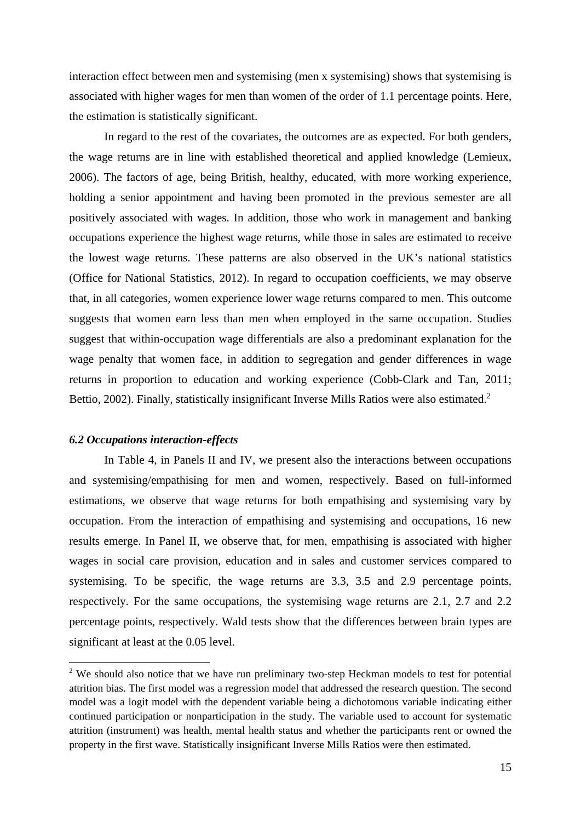interaction effect between men and systemising (men x systemising) shows that systemising is associated with higher wages for men than women of the order of 1.1 percentage points. Here, the estimation is statistically significant.

In regard to the rest of the covariates, the outcomes are as expected. For both genders, the wage returns are in line with established theoretical and applied knowledge (Lemieux, 2006). The factors of age, being British, healthy, educated, with more working experience, holding a senior appointment and having been promoted in the previous semester are all positively associated with wages. In addition, those who work in management and banking occupations experience the highest wage returns, while those in sales are estimated to receive the lowest wage returns. These patterns are also observed in the UK's national statistics (Office for National Statistics, 2012). In regard to occupation coefficients, we may observe that, in all categories, women experience lower wage returns compared to men. This outcome suggests that women earn less than men when employed in the same occupation. Studies suggest that within-occupation wage differentials are also a predominant explanation for the wage penalty that women face, in addition to segregation and gender differences in wage returns in proportion to education and working experience (Cobb-Clark and Tan, 2011; Bettio, 2002). Finally, statistically insignificant Inverse Mills Ratios were also estimated.<sup>2</sup>

#### *6.2 Occupations interaction-effects*

1

In Table 4, in Panels II and IV, we present also the interactions between occupations and systemising/empathising for men and women, respectively. Based on full-informed estimations, we observe that wage returns for both empathising and systemising vary by occupation. From the interaction of empathising and systemising and occupations, 16 new results emerge. In Panel II, we observe that, for men, empathising is associated with higher wages in social care provision, education and in sales and customer services compared to systemising. To be specific, the wage returns are 3.3, 3.5 and 2.9 percentage points, respectively. For the same occupations, the systemising wage returns are 2.1, 2.7 and 2.2 percentage points, respectively. Wald tests show that the differences between brain types are significant at least at the 0.05 level.

 $2$  We should also notice that we have run preliminary two-step Heckman models to test for potential attrition bias. The first model was a regression model that addressed the research question. The second model was a logit model with the dependent variable being a dichotomous variable indicating either continued participation or nonparticipation in the study. The variable used to account for systematic attrition (instrument) was health, mental health status and whether the participants rent or owned the property in the first wave. Statistically insignificant Inverse Mills Ratios were then estimated.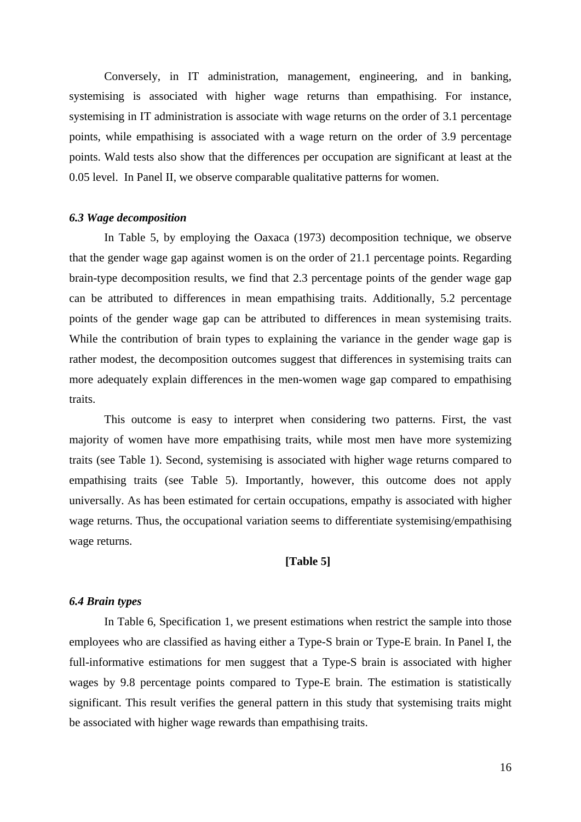Conversely, in IT administration, management, engineering, and in banking, systemising is associated with higher wage returns than empathising. For instance, systemising in IT administration is associate with wage returns on the order of 3.1 percentage points, while empathising is associated with a wage return on the order of 3.9 percentage points. Wald tests also show that the differences per occupation are significant at least at the 0.05 level. In Panel II, we observe comparable qualitative patterns for women.

#### *6.3 Wage decomposition*

In Table 5, by employing the Oaxaca (1973) decomposition technique, we observe that the gender wage gap against women is on the order of 21.1 percentage points. Regarding brain-type decomposition results, we find that 2.3 percentage points of the gender wage gap can be attributed to differences in mean empathising traits. Additionally, 5.2 percentage points of the gender wage gap can be attributed to differences in mean systemising traits. While the contribution of brain types to explaining the variance in the gender wage gap is rather modest, the decomposition outcomes suggest that differences in systemising traits can more adequately explain differences in the men-women wage gap compared to empathising traits.

This outcome is easy to interpret when considering two patterns. First, the vast majority of women have more empathising traits, while most men have more systemizing traits (see Table 1). Second, systemising is associated with higher wage returns compared to empathising traits (see Table 5). Importantly, however, this outcome does not apply universally. As has been estimated for certain occupations, empathy is associated with higher wage returns. Thus, the occupational variation seems to differentiate systemising/empathising wage returns.

#### **[Table 5]**

#### *6.4 Brain types*

In Table 6, Specification 1, we present estimations when restrict the sample into those employees who are classified as having either a Type-S brain or Type-E brain. In Panel I, the full-informative estimations for men suggest that a Type-S brain is associated with higher wages by 9.8 percentage points compared to Type-E brain. The estimation is statistically significant. This result verifies the general pattern in this study that systemising traits might be associated with higher wage rewards than empathising traits.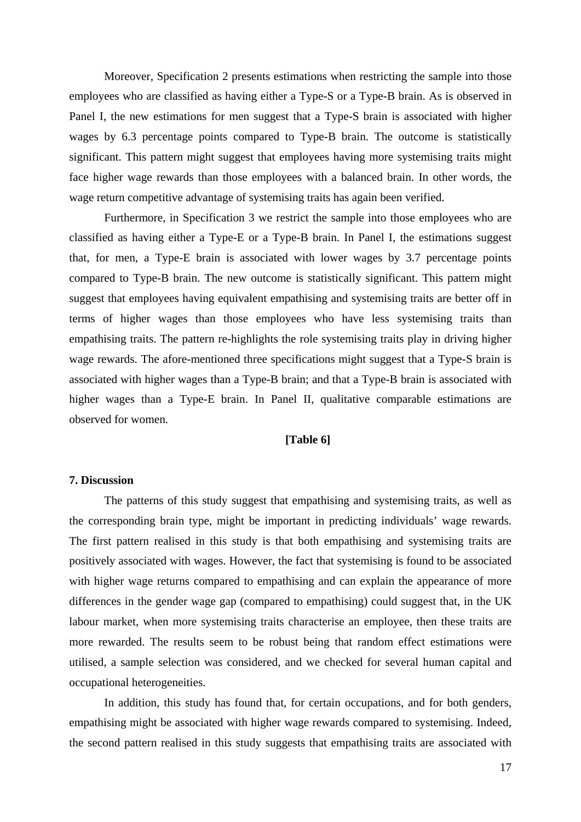Moreover, Specification 2 presents estimations when restricting the sample into those employees who are classified as having either a Type-S or a Type-B brain. As is observed in Panel I, the new estimations for men suggest that a Type-S brain is associated with higher wages by 6.3 percentage points compared to Type-B brain. The outcome is statistically significant. This pattern might suggest that employees having more systemising traits might face higher wage rewards than those employees with a balanced brain. In other words, the wage return competitive advantage of systemising traits has again been verified.

Furthermore, in Specification 3 we restrict the sample into those employees who are classified as having either a Type-E or a Type-B brain. In Panel I, the estimations suggest that, for men, a Type-E brain is associated with lower wages by 3.7 percentage points compared to Type-B brain. The new outcome is statistically significant. This pattern might suggest that employees having equivalent empathising and systemising traits are better off in terms of higher wages than those employees who have less systemising traits than empathising traits. The pattern re-highlights the role systemising traits play in driving higher wage rewards. The afore-mentioned three specifications might suggest that a Type-S brain is associated with higher wages than a Type-B brain; and that a Type-B brain is associated with higher wages than a Type-E brain. In Panel II, qualitative comparable estimations are observed for women.

#### **[Table 6]**

#### **7. Discussion**

The patterns of this study suggest that empathising and systemising traits, as well as the corresponding brain type, might be important in predicting individuals' wage rewards. The first pattern realised in this study is that both empathising and systemising traits are positively associated with wages. However, the fact that systemising is found to be associated with higher wage returns compared to empathising and can explain the appearance of more differences in the gender wage gap (compared to empathising) could suggest that, in the UK labour market, when more systemising traits characterise an employee, then these traits are more rewarded. The results seem to be robust being that random effect estimations were utilised, a sample selection was considered, and we checked for several human capital and occupational heterogeneities.

In addition, this study has found that, for certain occupations, and for both genders, empathising might be associated with higher wage rewards compared to systemising. Indeed, the second pattern realised in this study suggests that empathising traits are associated with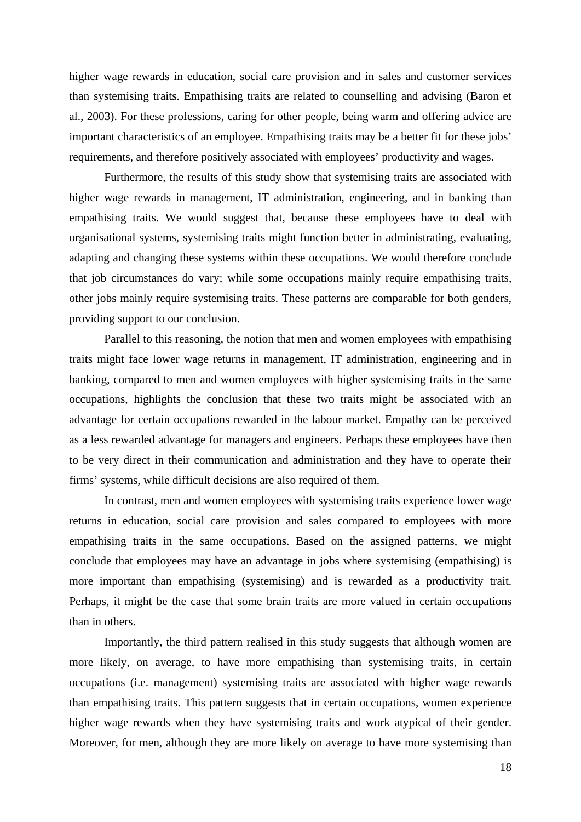higher wage rewards in education, social care provision and in sales and customer services than systemising traits. Empathising traits are related to counselling and advising (Baron et al., 2003). For these professions, caring for other people, being warm and offering advice are important characteristics of an employee. Empathising traits may be a better fit for these jobs' requirements, and therefore positively associated with employees' productivity and wages.

Furthermore, the results of this study show that systemising traits are associated with higher wage rewards in management, IT administration, engineering, and in banking than empathising traits. We would suggest that, because these employees have to deal with organisational systems, systemising traits might function better in administrating, evaluating, adapting and changing these systems within these occupations. We would therefore conclude that job circumstances do vary; while some occupations mainly require empathising traits, other jobs mainly require systemising traits. These patterns are comparable for both genders, providing support to our conclusion.

Parallel to this reasoning, the notion that men and women employees with empathising traits might face lower wage returns in management, IT administration, engineering and in banking, compared to men and women employees with higher systemising traits in the same occupations, highlights the conclusion that these two traits might be associated with an advantage for certain occupations rewarded in the labour market. Empathy can be perceived as a less rewarded advantage for managers and engineers. Perhaps these employees have then to be very direct in their communication and administration and they have to operate their firms' systems, while difficult decisions are also required of them.

In contrast, men and women employees with systemising traits experience lower wage returns in education, social care provision and sales compared to employees with more empathising traits in the same occupations. Based on the assigned patterns, we might conclude that employees may have an advantage in jobs where systemising (empathising) is more important than empathising (systemising) and is rewarded as a productivity trait. Perhaps, it might be the case that some brain traits are more valued in certain occupations than in others.

Importantly, the third pattern realised in this study suggests that although women are more likely, on average, to have more empathising than systemising traits, in certain occupations (i.e. management) systemising traits are associated with higher wage rewards than empathising traits. This pattern suggests that in certain occupations, women experience higher wage rewards when they have systemising traits and work atypical of their gender. Moreover, for men, although they are more likely on average to have more systemising than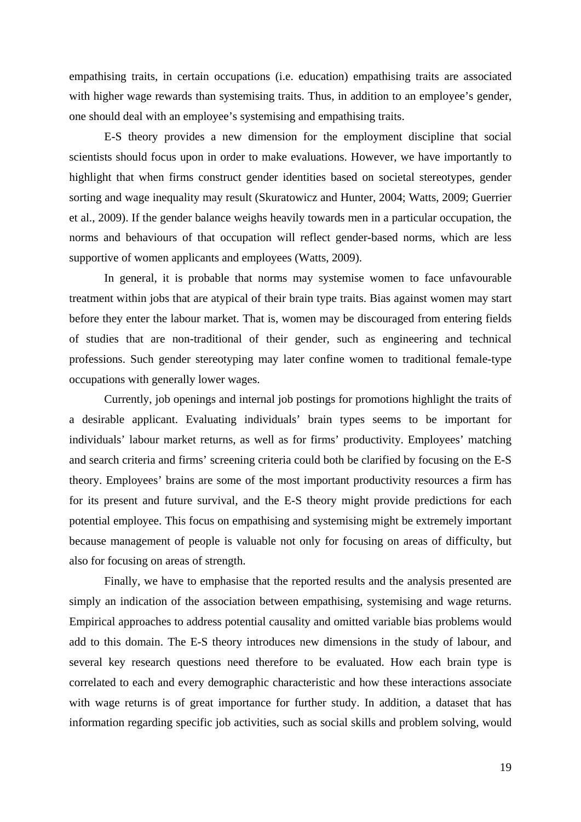empathising traits, in certain occupations (i.e. education) empathising traits are associated with higher wage rewards than systemising traits. Thus, in addition to an employee's gender, one should deal with an employee's systemising and empathising traits.

E-S theory provides a new dimension for the employment discipline that social scientists should focus upon in order to make evaluations. However, we have importantly to highlight that when firms construct gender identities based on societal stereotypes, gender sorting and wage inequality may result (Skuratowicz and Hunter, 2004; Watts, 2009; Guerrier et al., 2009). If the gender balance weighs heavily towards men in a particular occupation, the norms and behaviours of that occupation will reflect gender-based norms, which are less supportive of women applicants and employees (Watts, 2009).

In general, it is probable that norms may systemise women to face unfavourable treatment within jobs that are atypical of their brain type traits. Bias against women may start before they enter the labour market. That is, women may be discouraged from entering fields of studies that are non-traditional of their gender, such as engineering and technical professions. Such gender stereotyping may later confine women to traditional female-type occupations with generally lower wages.

Currently, job openings and internal job postings for promotions highlight the traits of a desirable applicant. Evaluating individuals' brain types seems to be important for individuals' labour market returns, as well as for firms' productivity. Employees' matching and search criteria and firms' screening criteria could both be clarified by focusing on the E-S theory. Employees' brains are some of the most important productivity resources a firm has for its present and future survival, and the E-S theory might provide predictions for each potential employee. This focus on empathising and systemising might be extremely important because management of people is valuable not only for focusing on areas of difficulty, but also for focusing on areas of strength.

Finally, we have to emphasise that the reported results and the analysis presented are simply an indication of the association between empathising, systemising and wage returns. Empirical approaches to address potential causality and omitted variable bias problems would add to this domain. The E-S theory introduces new dimensions in the study of labour, and several key research questions need therefore to be evaluated. How each brain type is correlated to each and every demographic characteristic and how these interactions associate with wage returns is of great importance for further study. In addition, a dataset that has information regarding specific job activities, such as social skills and problem solving, would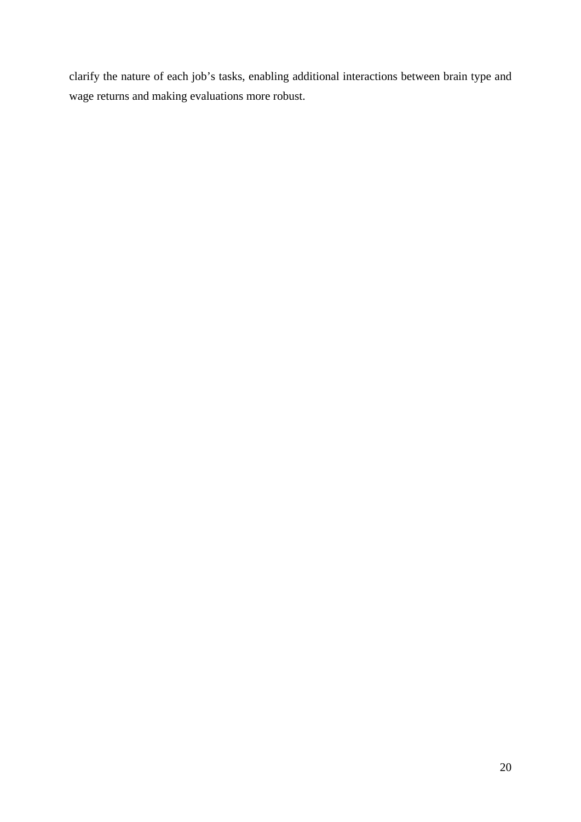clarify the nature of each job's tasks, enabling additional interactions between brain type and wage returns and making evaluations more robust.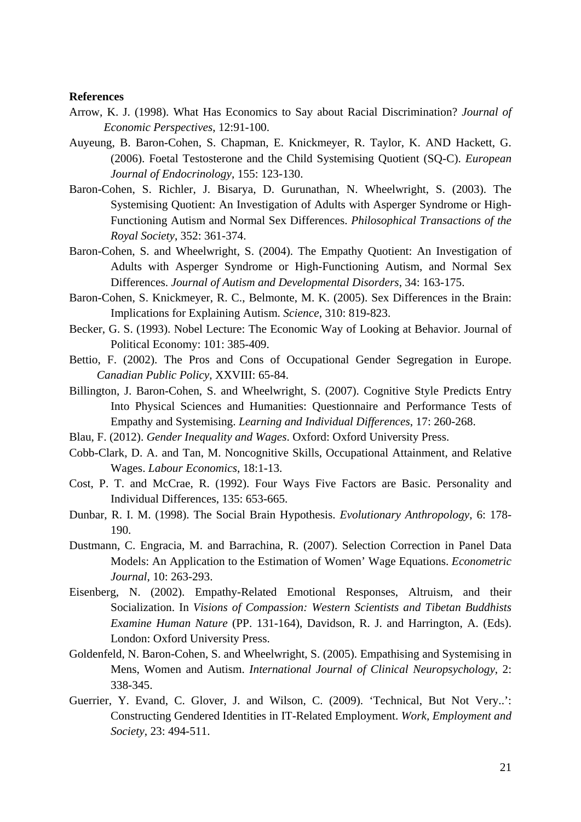#### **References**

- Arrow, K. J. (1998). What Has Economics to Say about Racial Discrimination? *Journal of Economic Perspectives*, 12:91-100.
- Auyeung, B. Baron-Cohen, S. Chapman, E. Knickmeyer, R. Taylor, K. AND Hackett, G. (2006). Foetal Testosterone and the Child Systemising Quotient (SQ-C). *European Journal of Endocrinology*, 155: 123-130.
- Baron-Cohen, S. Richler, J. Bisarya, D. Gurunathan, N. Wheelwright, S. (2003). The Systemising Quotient: An Investigation of Adults with Asperger Syndrome or High-Functioning Autism and Normal Sex Differences. *Philosophical Transactions of the Royal Society*, 352: 361-374.
- Baron-Cohen, S. and Wheelwright, S. (2004). The Empathy Quotient: An Investigation of Adults with Asperger Syndrome or High-Functioning Autism, and Normal Sex Differences. *Journal of Autism and Developmental Disorders*, 34: 163-175.
- Baron-Cohen, S. Knickmeyer, R. C., Belmonte, M. K. (2005). Sex Differences in the Brain: Implications for Explaining Autism. *Science*, 310: 819-823.
- Becker, G. S. (1993). Nobel Lecture: The Economic Way of Looking at Behavior. Journal of Political Economy: 101: 385-409.
- Bettio, F. (2002). The Pros and Cons of Occupational Gender Segregation in Europe. *Canadian Public Policy*, XXVIII: 65-84.
- Billington, J. Baron-Cohen, S. and Wheelwright, S. (2007). Cognitive Style Predicts Entry Into Physical Sciences and Humanities: Questionnaire and Performance Tests of Empathy and Systemising. *Learning and Individual Differences*, 17: 260-268.
- Blau, F. (2012). *Gender Inequality and Wages*. Oxford: Oxford University Press.
- Cobb-Clark, D. A. and Tan, M. Noncognitive Skills, Occupational Attainment, and Relative Wages. *Labour Economics*, 18:1-13.
- Cost, P. T. and McCrae, R. (1992). Four Ways Five Factors are Basic. Personality and Individual Differences, 135: 653-665.
- Dunbar, R. I. M. (1998). The Social Brain Hypothesis. *Evolutionary Anthropology*, 6: 178- 190.
- Dustmann, C. Engracia, M. and Barrachina, R. (2007). Selection Correction in Panel Data Models: An Application to the Estimation of Women' Wage Equations. *Econometric Journal*, 10: 263-293.
- Eisenberg, N. (2002). Empathy-Related Emotional Responses, Altruism, and their Socialization. In *Visions of Compassion: Western Scientists and Tibetan Buddhists Examine Human Nature* (PP. 131-164), Davidson, R. J. and Harrington, A. (Eds). London: Oxford University Press.
- Goldenfeld, N. Baron-Cohen, S. and Wheelwright, S. (2005). Empathising and Systemising in Mens, Women and Autism. *International Journal of Clinical Neuropsychology*, 2: 338-345.
- Guerrier, Y. Evand, C. Glover, J. and Wilson, C. (2009). 'Technical, But Not Very..': Constructing Gendered Identities in IT-Related Employment. *Work, Employment and Society*, 23: 494-511.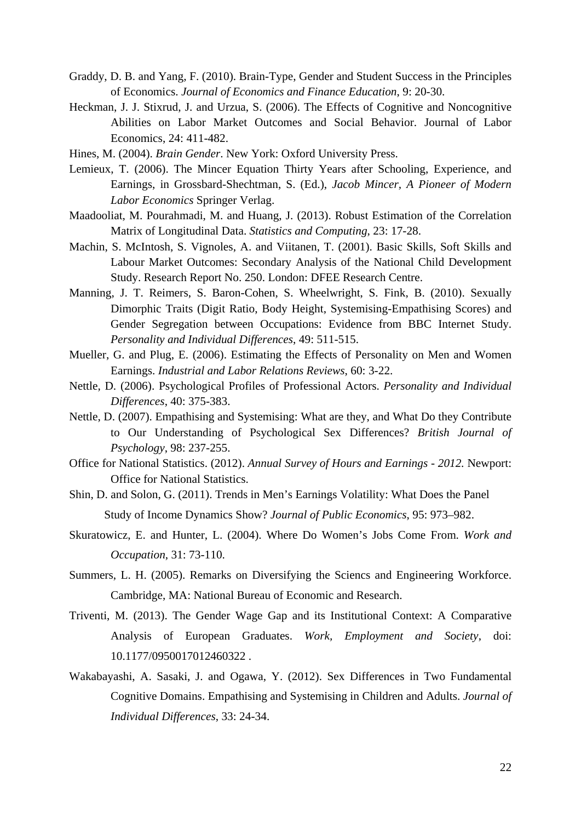- Graddy, D. B. and Yang, F. (2010). Brain-Type, Gender and Student Success in the Principles of Economics. *Journal of Economics and Finance Education*, 9: 20-30.
- Heckman, J. J. Stixrud, J. and Urzua, S. (2006). The Effects of Cognitive and Noncognitive Abilities on Labor Market Outcomes and Social Behavior. Journal of Labor Economics, 24: 411-482.
- Hines, M. (2004). *Brain Gender*. New York: Oxford University Press.
- Lemieux, T. (2006). The Mincer Equation Thirty Years after Schooling, Experience, and Earnings, in Grossbard-Shechtman, S. (Ed.), *Jacob Mincer, A Pioneer of Modern Labor Economics* Springer Verlag.
- Maadooliat, M. Pourahmadi, M. and Huang, J. (2013). Robust Estimation of the Correlation Matrix of Longitudinal Data. *Statistics and Computing*, 23: 17-28.
- Machin, S. McIntosh, S. Vignoles, A. and Viitanen, T. (2001). Basic Skills, Soft Skills and Labour Market Outcomes: Secondary Analysis of the National Child Development Study. Research Report No. 250. London: DFEE Research Centre.
- Manning, J. T. Reimers, S. Baron-Cohen, S. Wheelwright, S. Fink, B. (2010). Sexually Dimorphic Traits (Digit Ratio, Body Height, Systemising-Empathising Scores) and Gender Segregation between Occupations: Evidence from BBC Internet Study. *Personality and Individual Differences*, 49: 511-515.
- Mueller, G. and Plug, E. (2006). Estimating the Effects of Personality on Men and Women Earnings. *Industrial and Labor Relations Reviews*, 60: 3-22.
- Nettle, D. (2006). Psychological Profiles of Professional Actors. *Personality and Individual Differences*, 40: 375-383.
- Nettle, D. (2007). Empathising and Systemising: What are they, and What Do they Contribute to Our Understanding of Psychological Sex Differences? *British Journal of Psychology*, 98: 237-255.
- Office for National Statistics. (2012). *Annual Survey of Hours and Earnings 2012.* Newport: Office for National Statistics.
- Shin, D. and Solon, G. (2011). Trends in Men's Earnings Volatility: What Does the Panel Study of Income Dynamics Show? *Journal of Public Economics*, 95: 973–982.
- Skuratowicz, E. and Hunter, L. (2004). Where Do Women's Jobs Come From. *Work and Occupation*, 31: 73-110.
- Summers, L. H. (2005). Remarks on Diversifying the Sciencs and Engineering Workforce. Cambridge, MA: National Bureau of Economic and Research.
- Triventi, M. (2013). The Gender Wage Gap and its Institutional Context: A Comparative Analysis of European Graduates. *Work, Employment and Society*, doi: 10.1177/0950017012460322 .
- Wakabayashi, A. Sasaki, J. and Ogawa, Y. (2012). Sex Differences in Two Fundamental Cognitive Domains. Empathising and Systemising in Children and Adults. *Journal of Individual Differences*, 33: 24-34.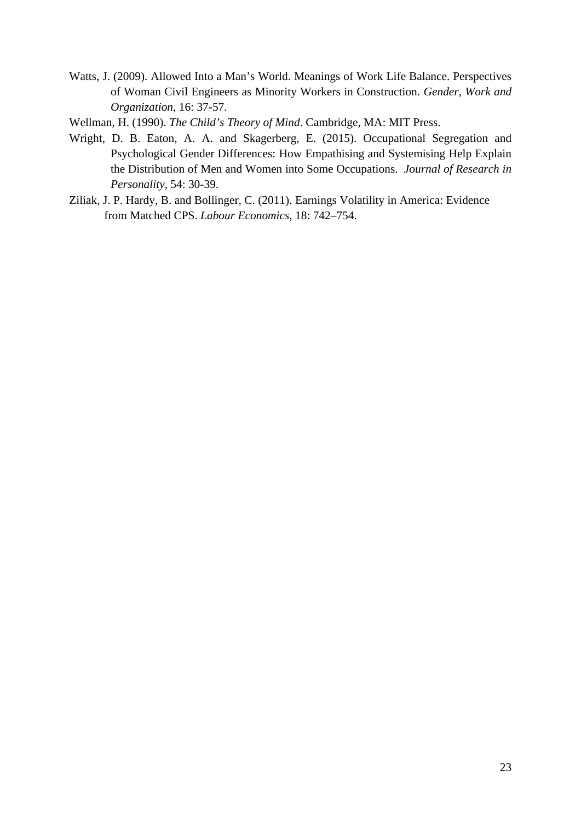Watts, J. (2009). Allowed Into a Man's World. Meanings of Work Life Balance. Perspectives of Woman Civil Engineers as Minority Workers in Construction. *Gender, Work and Organization*, 16: 37-57.

Wellman, H. (1990). *The Child's Theory of Mind*. Cambridge, MA: MIT Press.

- Wright, D. B. Eaton, A. A. and Skagerberg, E. (2015). Occupational Segregation and Psychological Gender Differences: How Empathising and Systemising Help Explain the Distribution of Men and Women into Some Occupations. *Journal of Research in Personality*, 54: 30-39.
- Ziliak, J. P. Hardy, B. and Bollinger, C. (2011). Earnings Volatility in America: Evidence from Matched CPS. *Labour Economics*, 18: 742–754.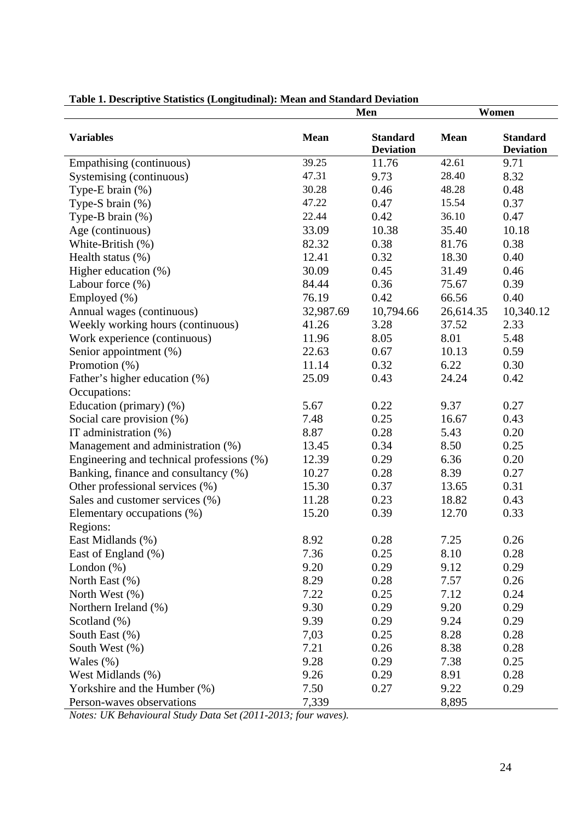|                                           | Men         |                                     | Women       |                                     |
|-------------------------------------------|-------------|-------------------------------------|-------------|-------------------------------------|
| <b>Variables</b>                          | <b>Mean</b> | <b>Standard</b><br><b>Deviation</b> | <b>Mean</b> | <b>Standard</b><br><b>Deviation</b> |
| Empathising (continuous)                  | 39.25       | 11.76                               | 42.61       | 9.71                                |
| Systemising (continuous)                  | 47.31       | 9.73                                | 28.40       | 8.32                                |
| Type-E brain (%)                          | 30.28       | 0.46                                | 48.28       | 0.48                                |
| Type-S brain (%)                          | 47.22       | 0.47                                | 15.54       | 0.37                                |
| Type-B brain $(\%)$                       | 22.44       | 0.42                                | 36.10       | 0.47                                |
| Age (continuous)                          | 33.09       | 10.38                               | 35.40       | 10.18                               |
| White-British (%)                         | 82.32       | 0.38                                | 81.76       | 0.38                                |
| Health status (%)                         | 12.41       | 0.32                                | 18.30       | 0.40                                |
| Higher education (%)                      | 30.09       | 0.45                                | 31.49       | 0.46                                |
| Labour force $(\%)$                       | 84.44       | 0.36                                | 75.67       | 0.39                                |
| Employed (%)                              | 76.19       | 0.42                                | 66.56       | 0.40                                |
| Annual wages (continuous)                 | 32,987.69   | 10,794.66                           | 26,614.35   | 10,340.12                           |
| Weekly working hours (continuous)         | 41.26       | 3.28                                | 37.52       | 2.33                                |
| Work experience (continuous)              | 11.96       | 8.05                                | 8.01        | 5.48                                |
| Senior appointment (%)                    | 22.63       | 0.67                                | 10.13       | 0.59                                |
| Promotion (%)                             | 11.14       | 0.32                                | 6.22        | 0.30                                |
| Father's higher education (%)             | 25.09       | 0.43                                | 24.24       | 0.42                                |
| Occupations:                              |             |                                     |             |                                     |
| Education (primary) (%)                   | 5.67        | 0.22                                | 9.37        | 0.27                                |
| Social care provision (%)                 | 7.48        | 0.25                                | 16.67       | 0.43                                |
| IT administration (%)                     | 8.87        | 0.28                                | 5.43        | 0.20                                |
| Management and administration (%)         | 13.45       | 0.34                                | 8.50        | 0.25                                |
| Engineering and technical professions (%) | 12.39       | 0.29                                | 6.36        | 0.20                                |
| Banking, finance and consultancy (%)      | 10.27       | 0.28                                | 8.39        | 0.27                                |
| Other professional services (%)           | 15.30       | 0.37                                | 13.65       | 0.31                                |
| Sales and customer services (%)           | 11.28       | 0.23                                | 18.82       | 0.43                                |
| Elementary occupations (%)                | 15.20       | 0.39                                | 12.70       | 0.33                                |
| Regions:                                  |             |                                     |             |                                     |
| East Midlands (%)                         | 8.92        | 0.28                                | 7.25        | 0.26                                |
| East of England (%)                       | 7.36        | 0.25                                | 8.10        | 0.28                                |
| London $(\%)$                             | 9.20        | 0.29                                | 9.12        | 0.29                                |
| North East (%)                            | 8.29        | 0.28                                | 7.57        | 0.26                                |
| North West (%)                            | 7.22        | 0.25                                | 7.12        | 0.24                                |
| Northern Ireland (%)                      | 9.30        | 0.29                                | 9.20        | 0.29                                |
| Scotland $(\%)$                           | 9.39        | 0.29                                | 9.24        | 0.29                                |
| South East (%)                            | 7,03        | 0.25                                | 8.28        | 0.28                                |
| South West $(\%)$                         | 7.21        | 0.26                                | 8.38        | 0.28                                |
| Wales $(\%)$                              | 9.28        | 0.29                                | 7.38        | 0.25                                |
| West Midlands (%)                         | 9.26        | 0.29                                | 8.91        | 0.28                                |
| Yorkshire and the Humber (%)              | 7.50        | 0.27                                | 9.22        | 0.29                                |
| Person-waves observations                 | 7,339       |                                     | 8,895       |                                     |

#### **Table 1. Descriptive Statistics (Longitudinal): Mean and Standard Deviation**

*Notes: UK Behavioural Study Data Set (2011-2013; four waves).*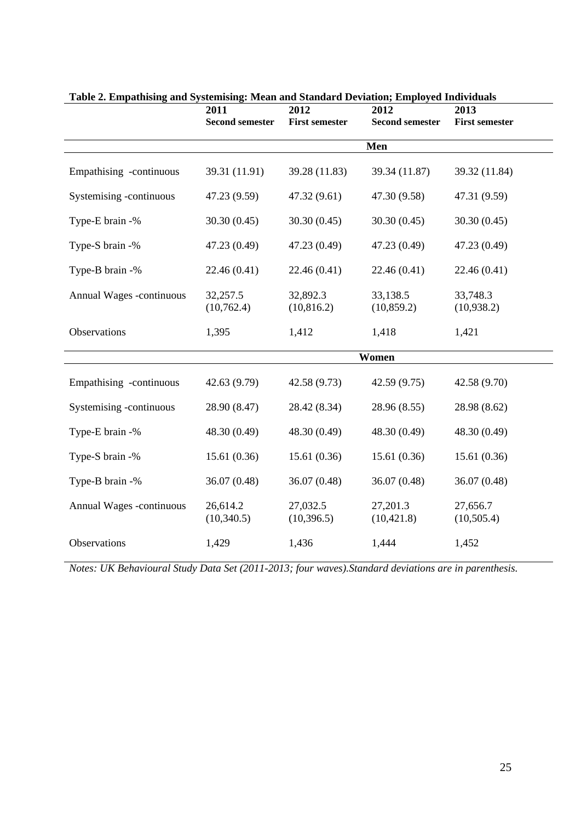| галс 2. етраспындана бумстынд. таан ана банаага Бетааби, етроуса типтаааы | 2011<br><b>Second semester</b> | 2012<br><b>First semester</b> | 2012<br><b>Second semester</b> | 2013<br><b>First semester</b> |
|---------------------------------------------------------------------------|--------------------------------|-------------------------------|--------------------------------|-------------------------------|
|                                                                           |                                |                               | Men                            |                               |
| Empathising -continuous                                                   | 39.31 (11.91)                  | 39.28 (11.83)                 | 39.34 (11.87)                  | 39.32 (11.84)                 |
| Systemising -continuous                                                   | 47.23 (9.59)                   | 47.32 (9.61)                  | 47.30 (9.58)                   | 47.31 (9.59)                  |
| Type-E brain -%                                                           | 30.30(0.45)                    | 30.30(0.45)                   | 30.30(0.45)                    | 30.30(0.45)                   |
| Type-S brain -%                                                           | 47.23 (0.49)                   | 47.23 (0.49)                  | 47.23 (0.49)                   | 47.23 (0.49)                  |
| Type-B brain -%                                                           | 22.46 (0.41)                   | 22.46(0.41)                   | 22.46 (0.41)                   | 22.46 (0.41)                  |
| Annual Wages -continuous                                                  | 32,257.5<br>(10,762.4)         | 32,892.3<br>(10, 816.2)       | 33,138.5<br>(10, 859.2)        | 33,748.3<br>(10,938.2)        |
| Observations                                                              | 1,395                          | 1,412                         | 1,418                          | 1,421                         |
|                                                                           |                                |                               | Women                          |                               |
| Empathising -continuous                                                   | 42.63 (9.79)                   | 42.58 (9.73)                  | 42.59 (9.75)                   | 42.58 (9.70)                  |
| Systemising -continuous                                                   | 28.90 (8.47)                   | 28.42 (8.34)                  | 28.96 (8.55)                   | 28.98 (8.62)                  |
| Type-E brain -%                                                           | 48.30 (0.49)                   | 48.30 (0.49)                  | 48.30 (0.49)                   | 48.30 (0.49)                  |
| Type-S brain -%                                                           | 15.61(0.36)                    | 15.61(0.36)                   | 15.61(0.36)                    | 15.61(0.36)                   |
| Type-B brain -%                                                           | 36.07 (0.48)                   | 36.07 (0.48)                  | 36.07 (0.48)                   | 36.07 (0.48)                  |
| Annual Wages -continuous                                                  | 26,614.2<br>(10,340.5)         | 27,032.5<br>(10, 396.5)       | 27,201.3<br>(10, 421.8)        | 27,656.7<br>(10,505.4)        |
| Observations                                                              | 1,429                          | 1,436                         | 1,444                          | 1,452                         |

| Table 2. Empathising and Systemising: Mean and Standard Deviation; Employed Individuals |  |
|-----------------------------------------------------------------------------------------|--|
|-----------------------------------------------------------------------------------------|--|

*Notes: UK Behavioural Study Data Set (2011-2013; four waves).Standard deviations are in parenthesis.*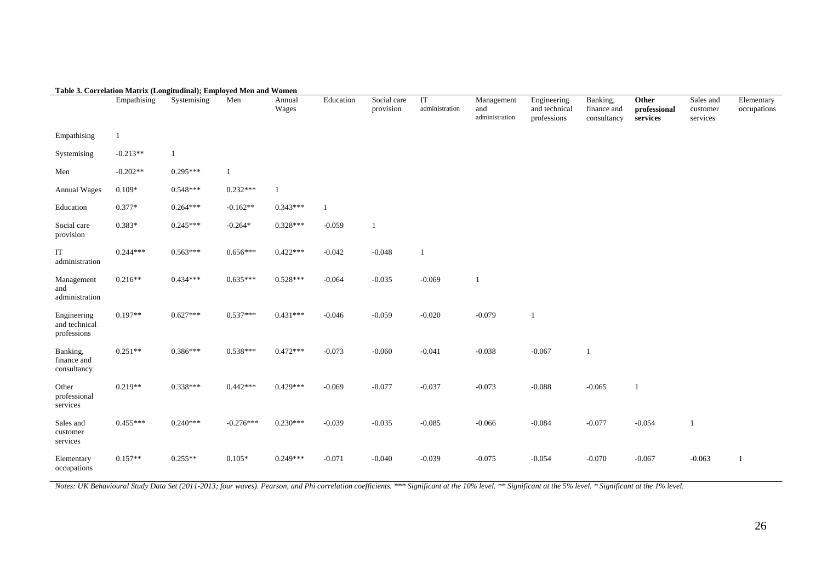|                                             | Table 3. Correlation Matrix (Longitudinal); Employed Men and Women |             |             |                 |              |                          |                      |                                     |                                             |                                        |                                   |                                   |                           |
|---------------------------------------------|--------------------------------------------------------------------|-------------|-------------|-----------------|--------------|--------------------------|----------------------|-------------------------------------|---------------------------------------------|----------------------------------------|-----------------------------------|-----------------------------------|---------------------------|
|                                             | Empathising                                                        | Systemising | Men         | Annual<br>Wages | Education    | Social care<br>provision | IT<br>administration | Management<br>and<br>administration | Engineering<br>and technical<br>professions | Banking,<br>finance and<br>consultancy | Other<br>professional<br>services | Sales and<br>customer<br>services | Elementary<br>occupations |
| Empathising                                 | 1                                                                  |             |             |                 |              |                          |                      |                                     |                                             |                                        |                                   |                                   |                           |
| Systemising                                 | $-0.213**$                                                         | 1           |             |                 |              |                          |                      |                                     |                                             |                                        |                                   |                                   |                           |
| Men                                         | $-0.202**$                                                         | $0.295***$  | 1           |                 |              |                          |                      |                                     |                                             |                                        |                                   |                                   |                           |
| <b>Annual Wages</b>                         | $0.109*$                                                           | $0.548***$  | $0.232***$  | $\mathbf{1}$    |              |                          |                      |                                     |                                             |                                        |                                   |                                   |                           |
| Education                                   | $0.377*$                                                           | $0.264***$  | $-0.162**$  | $0.343***$      | $\mathbf{1}$ |                          |                      |                                     |                                             |                                        |                                   |                                   |                           |
| Social care<br>provision                    | $0.383*$                                                           | $0.245***$  | $-0.264*$   | $0.328***$      | $-0.059$     | $\mathbf{1}$             |                      |                                     |                                             |                                        |                                   |                                   |                           |
| IT<br>administration                        | $0.244***$                                                         | $0.563***$  | $0.656***$  | $0.422***$      | $-0.042$     | $-0.048$                 | $\mathbf{1}$         |                                     |                                             |                                        |                                   |                                   |                           |
| Management<br>and<br>administration         | $0.216**$                                                          | $0.434***$  | $0.635***$  | $0.528***$      | $-0.064$     | $-0.035$                 | $-0.069$             | $\mathbf{1}$                        |                                             |                                        |                                   |                                   |                           |
| Engineering<br>and technical<br>professions | $0.197**$                                                          | $0.627***$  | $0.537***$  | $0.431***$      | $-0.046$     | $-0.059$                 | $-0.020$             | $-0.079$                            | -1                                          |                                        |                                   |                                   |                           |
| Banking,<br>finance and<br>consultancy      | $0.251**$                                                          | $0.386***$  | $0.538***$  | $0.472***$      | $-0.073$     | $-0.060$                 | $-0.041$             | $-0.038$                            | $-0.067$                                    | $\mathbf{1}$                           |                                   |                                   |                           |
| Other<br>professional<br>services           | $0.219**$                                                          | $0.338***$  | $0.442***$  | $0.429***$      | $-0.069$     | $-0.077$                 | $-0.037$             | $-0.073$                            | $-0.088$                                    | $-0.065$                               | $\mathbf{1}$                      |                                   |                           |
| Sales and<br>customer<br>services           | $0.455***$                                                         | $0.240***$  | $-0.276***$ | $0.230***$      | $-0.039$     | $-0.035$                 | $-0.085$             | $-0.066$                            | $-0.084$                                    | $-0.077$                               | $-0.054$                          | 1                                 |                           |
| Elementary<br>occupations                   | $0.157**$                                                          | $0.255**$   | $0.105*$    | $0.249***$      | $-0.071$     | $-0.040$                 | $-0.039$             | $-0.075$                            | $-0.054$                                    | $-0.070$                               | $-0.067$                          | $-0.063$                          | -1                        |

*Notes: UK Behavioural Study Data Set (2011-2013; four waves). Pearson, and Phi correlation coefficients. \*\*\* Significant at the 10% level. \*\* Significant at the 5% level. \* Significant at the 1% level.*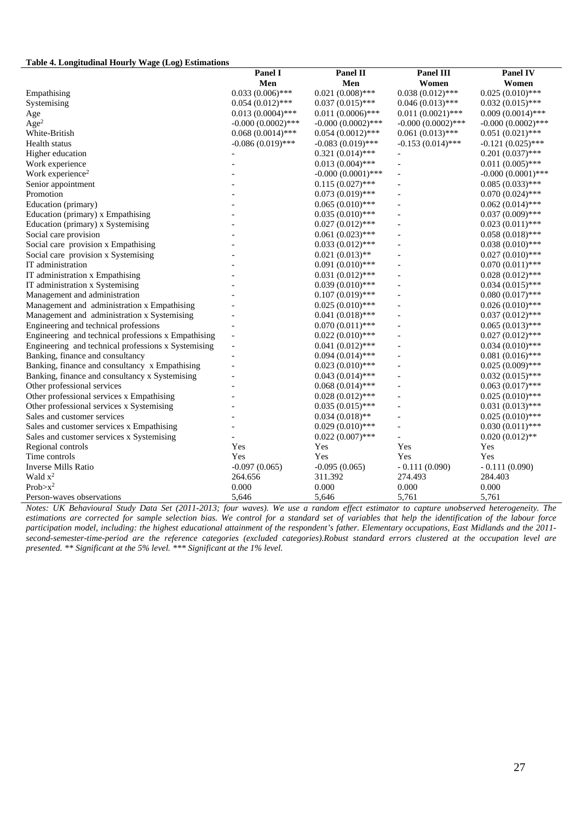#### **Table 4. Longitudinal Hourly Wage (Log) Estimations**

|                                                     | Panel I              | <b>Panel II</b>      | <b>Panel III</b>     | <b>Panel IV</b>      |
|-----------------------------------------------------|----------------------|----------------------|----------------------|----------------------|
|                                                     | Men                  | Men                  | Women                | Women                |
| Empathising                                         | $0.033(0.006)$ ***   | $0.021(0.008)$ ***   | $0.038(0.012)$ ***   | $0.025(0.010)$ ***   |
| Systemising                                         | $0.054(0.012)$ ***   | $0.037(0.015)$ ***   | $0.046(0.013)$ ***   | $0.032(0.015)$ ***   |
| Age                                                 | $0.013(0.0004)$ ***  | $0.011(0.0006)$ ***  | $0.011(0.0021)$ ***  | $0.009(0.0014)$ ***  |
| Age <sup>2</sup>                                    | $-0.000(0.0002)$ *** | $-0.000(0.0002)$ *** | $-0.000(0.0002)$ *** | $-0.000(0.0002)$ *** |
| White-British                                       | $0.068(0.0014)$ ***  | $0.054(0.0012)$ ***  | $0.061(0.013)$ ***   | $0.051(0.021)$ ***   |
| Health status                                       | $-0.086(0.019)$ ***  | $-0.083(0.019)$ ***  | $-0.153(0.014)$ ***  | $-0.121(0.025)$ ***  |
| Higher education                                    |                      | $0.321(0.014)$ ***   |                      | $0.201(0.037)$ ***   |
| Work experience                                     |                      | $0.013(0.004)$ ***   | $\overline{a}$       | $0.011(0.005)$ ***   |
| Work experience <sup>2</sup>                        |                      | $-0.000(0.0001)$ *** | $\overline{a}$       | $-0.000(0.0001)$ *** |
| Senior appointment                                  |                      | $0.115(0.027)$ ***   |                      | $0.085(0.033)$ ***   |
| Promotion                                           |                      | $0.073(0.019)$ ***   | $\overline{a}$       | $0.070(0.024)$ ***   |
| Education (primary)                                 |                      | $0.065(0.010)$ ***   |                      | $0.062(0.014)$ ***   |
| Education (primary) x Empathising                   |                      | $0.035(0.010)$ ***   | $\overline{a}$       | $0.037(0.009)$ ***   |
| Education (primary) x Systemising                   |                      | $0.027(0.012)$ ***   |                      | $0.023(0.011)$ ***   |
| Social care provision                               |                      | $0.061(0.023)$ ***   | $\overline{a}$       | $0.058(0.018)$ ***   |
| Social care provision x Empathising                 |                      | $0.033(0.012)$ ***   |                      | $0.038(0.010)$ ***   |
| Social care provision x Systemising                 |                      | $0.021(0.013)$ **    |                      | $0.027(0.010)$ ***   |
| IT administration                                   |                      | $0.091(0.010)$ ***   |                      | $0.070(0.011)$ ***   |
| IT administration x Empathising                     |                      | $0.031(0.012)$ ***   | $\overline{a}$       | $0.028(0.012)$ ***   |
| IT administration x Systemising                     |                      | $0.039(0.010)$ ***   |                      | $0.034(0.015)$ ***   |
| Management and administration                       |                      | $0.107(0.019)$ ***   |                      | $0.080(0.017)$ ***   |
| Management and administration x Empathising         |                      | $0.025(0.010)$ ***   |                      | $0.026(0.010)$ ***   |
| Management and administration x Systemising         |                      | $0.041(0.018)$ ***   |                      | $0.037(0.012)$ ***   |
| Engineering and technical professions               |                      | $0.070(0.011)$ ***   |                      | $0.065(0.013)$ ***   |
| Engineering and technical professions x Empathising |                      | $0.022(0.010)$ ***   |                      | $0.027(0.012)$ ***   |
| Engineering and technical professions x Systemising | $\overline{a}$       | $0.041(0.012)$ ***   | Ĭ.                   | $0.034(0.010)$ ***   |
| Banking, finance and consultancy                    |                      | $0.094(0.014)$ ***   | L,                   | $0.081(0.016)$ ***   |
| Banking, finance and consultancy x Empathising      |                      | $0.023(0.010)$ ***   | $\overline{a}$       | $0.025(0.009)$ ***   |
| Banking, finance and consultancy x Systemising      |                      | $0.043(0.014)$ ***   |                      | $0.032(0.015)$ ***   |
| Other professional services                         |                      | $0.068(0.014)$ ***   |                      | $0.063(0.017)$ ***   |
| Other professional services x Empathising           |                      | $0.028(0.012)$ ***   |                      | $0.025(0.010)$ ***   |
| Other professional services x Systemising           |                      | $0.035(0.015)$ ***   | $\overline{a}$       | $0.031(0.013)$ ***   |
| Sales and customer services                         |                      | $0.034(0.018)$ **    |                      | $0.025(0.010)$ ***   |
| Sales and customer services x Empathising           |                      | $0.029(0.010)$ ***   | $\overline{a}$       | $0.030(0.011)$ ***   |
| Sales and customer services x Systemising           |                      | $0.022(0.007)$ ***   |                      | $0.020(0.012)$ **    |
| Regional controls                                   | Yes                  | Yes                  | Yes                  | Yes                  |
| Time controls                                       | Yes                  | Yes                  | Yes                  | Yes                  |
| <b>Inverse Mills Ratio</b>                          | $-0.097(0.065)$      | $-0.095(0.065)$      | $-0.111(0.090)$      | $-0.111(0.090)$      |
| Wald $x^2$                                          | 264.656              | 311.392              | 274.493              | 284.403              |
| $Prob > x^2$                                        | 0.000                | 0.000                | 0.000                | 0.000                |
| Person-waves observations                           | 5,646                | 5,646                | 5,761                | 5,761                |

*Notes: UK Behavioural Study Data Set (2011-2013; four waves). We use a random effect estimator to capture unobserved heterogeneity. The estimations are corrected for sample selection bias. We control for a standard set of variables that help the identification of the labour force participation model, including: the highest educational attainment of the respondent's father. Elementary occupations, East Midlands and the 2011 second-semester-time-period are the reference categories (excluded categories).Robust standard errors clustered at the occupation level are presented. \*\* Significant at the 5% level. \*\*\* Significant at the 1% level.*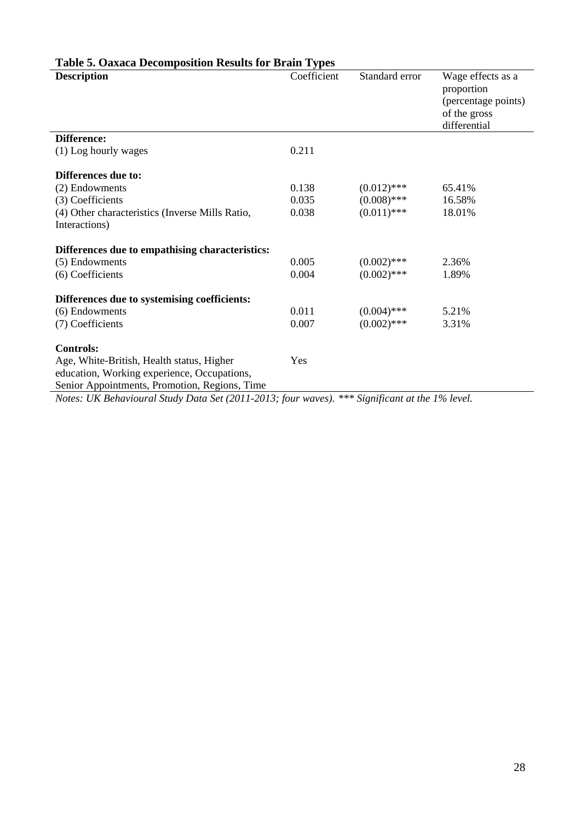| <b>Description</b>                                                                                                                                                                                                                          | Coefficient | Standard error | Wage effects as a<br>proportion<br>(percentage points)<br>of the gross<br>differential |
|---------------------------------------------------------------------------------------------------------------------------------------------------------------------------------------------------------------------------------------------|-------------|----------------|----------------------------------------------------------------------------------------|
| Difference:                                                                                                                                                                                                                                 |             |                |                                                                                        |
| (1) Log hourly wages                                                                                                                                                                                                                        | 0.211       |                |                                                                                        |
| Differences due to:                                                                                                                                                                                                                         |             |                |                                                                                        |
| (2) Endowments                                                                                                                                                                                                                              | 0.138       | $(0.012)$ ***  | 65.41%                                                                                 |
| (3) Coefficients                                                                                                                                                                                                                            | 0.035       | $(0.008)$ ***  | 16.58%                                                                                 |
| (4) Other characteristics (Inverse Mills Ratio,<br>Interactions)                                                                                                                                                                            | 0.038       | $(0.011)$ ***  | 18.01%                                                                                 |
| Differences due to empathising characteristics:                                                                                                                                                                                             |             |                |                                                                                        |
| (5) Endowments                                                                                                                                                                                                                              | 0.005       | $(0.002)$ ***  | 2.36%                                                                                  |
| (6) Coefficients                                                                                                                                                                                                                            | 0.004       | $(0.002)$ ***  | 1.89%                                                                                  |
| Differences due to systemising coefficients:                                                                                                                                                                                                |             |                |                                                                                        |
| (6) Endowments                                                                                                                                                                                                                              | 0.011       | $(0.004)$ ***  | 5.21%                                                                                  |
| (7) Coefficients                                                                                                                                                                                                                            | 0.007       | $(0.002)$ ***  | 3.31%                                                                                  |
| <b>Controls:</b>                                                                                                                                                                                                                            |             |                |                                                                                        |
| Age, White-British, Health status, Higher<br>education, Working experience, Occupations,<br>Senior Appointments, Promotion, Regions, Time<br>Notes: UK Behavioural Study Data Set (2011-2013; four waves). *** Significant at the 1% level. | Yes         |                |                                                                                        |

## **Table 5. Oaxaca Decomposition Results for Brain Types**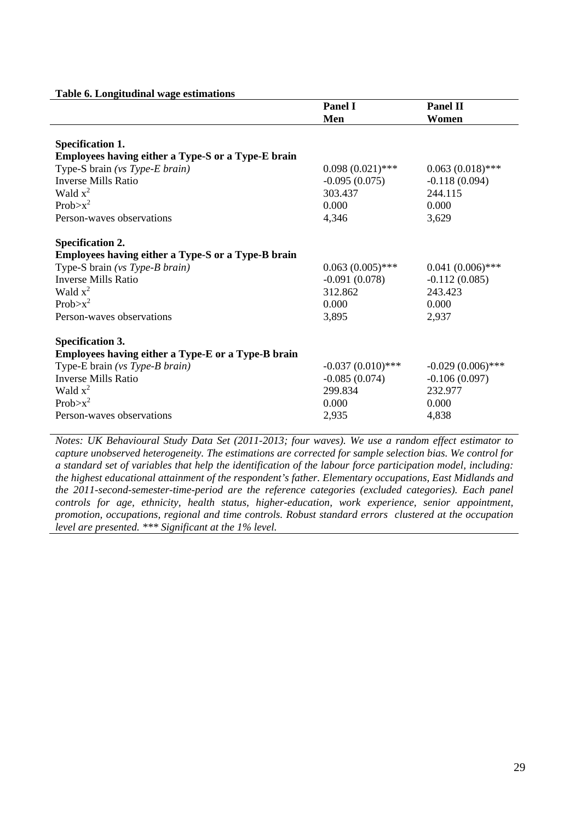|  | Table 6. Longitudinal wage estimations |
|--|----------------------------------------|
|  |                                        |

| $\frac{1}{2}$                                      | <b>Panel I</b>      | <b>Panel II</b>     |
|----------------------------------------------------|---------------------|---------------------|
|                                                    | Men                 | Women               |
|                                                    |                     |                     |
| <b>Specification 1.</b>                            |                     |                     |
| Employees having either a Type-S or a Type-E brain |                     |                     |
| Type-S brain (vs Type-E brain)                     | $0.098(0.021)$ ***  | $0.063(0.018)$ ***  |
| Inverse Mills Ratio                                | $-0.095(0.075)$     | $-0.118(0.094)$     |
| Wald $x^2$                                         | 303.437             | 244.115             |
| $Prob > x^2$                                       | 0.000               | 0.000               |
| Person-waves observations                          | 4,346               | 3,629               |
| <b>Specification 2.</b>                            |                     |                     |
| Employees having either a Type-S or a Type-B brain |                     |                     |
| Type-S brain (vs Type-B brain)                     | $0.063(0.005)$ ***  | $0.041(0.006)$ ***  |
| <b>Inverse Mills Ratio</b>                         | $-0.091(0.078)$     | $-0.112(0.085)$     |
| Wald $x^2$                                         | 312.862             | 243.423             |
| $Prob > x^2$                                       | 0.000               | 0.000               |
| Person-waves observations                          | 3,895               | 2,937               |
| <b>Specification 3.</b>                            |                     |                     |
| Employees having either a Type-E or a Type-B brain |                     |                     |
| Type-E brain (vs Type-B brain)                     | $-0.037(0.010)$ *** | $-0.029(0.006)$ *** |
| <b>Inverse Mills Ratio</b>                         | $-0.085(0.074)$     | $-0.106(0.097)$     |
| Wald $x^2$                                         | 299.834             | 232.977             |
| $Prob > x^2$                                       | 0.000               | 0.000               |
| Person-waves observations                          | 2,935               | 4,838               |

*Notes: UK Behavioural Study Data Set (2011-2013; four waves). We use a random effect estimator to capture unobserved heterogeneity. The estimations are corrected for sample selection bias. We control for a standard set of variables that help the identification of the labour force participation model, including: the highest educational attainment of the respondent's father. Elementary occupations, East Midlands and the 2011-second-semester-time-period are the reference categories (excluded categories). Each panel controls for age, ethnicity, health status, higher-education, work experience, senior appointment, promotion, occupations, regional and time controls. Robust standard errors clustered at the occupation level are presented. \*\*\* Significant at the 1% level.*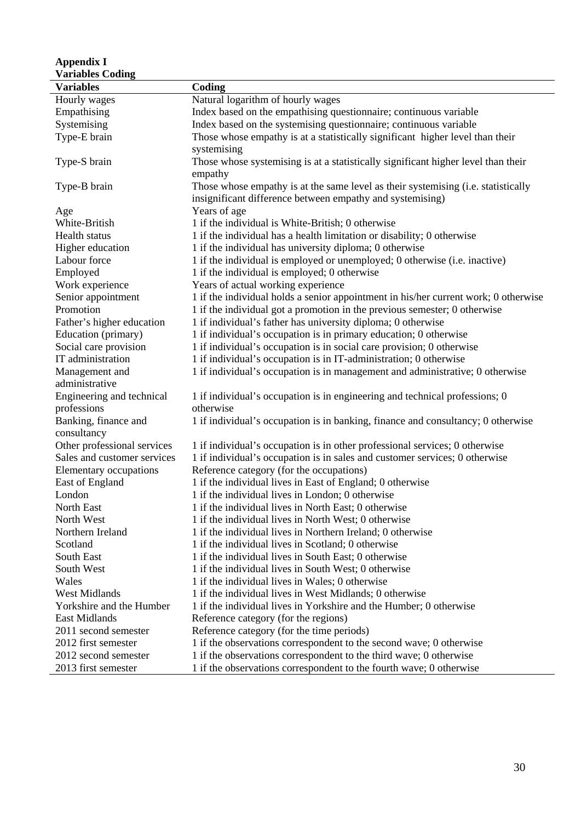| <b>Appendix I</b>                   |                                                                                                                                                |
|-------------------------------------|------------------------------------------------------------------------------------------------------------------------------------------------|
| <b>Variables Coding</b>             |                                                                                                                                                |
| <b>Variables</b>                    | Coding                                                                                                                                         |
| Hourly wages                        | Natural logarithm of hourly wages                                                                                                              |
| Empathising                         | Index based on the empathising questionnaire; continuous variable                                                                              |
| Systemising                         | Index based on the systemising questionnaire; continuous variable                                                                              |
| Type-E brain                        | Those whose empathy is at a statistically significant higher level than their                                                                  |
| Type-S brain                        | systemising<br>Those whose systemising is at a statistically significant higher level than their<br>empathy                                    |
| Type-B brain                        | Those whose empathy is at the same level as their systemising (i.e. statistically<br>insignificant difference between empathy and systemising) |
| Age                                 | Years of age                                                                                                                                   |
| White-British                       | 1 if the individual is White-British; 0 otherwise                                                                                              |
| Health status                       | 1 if the individual has a health limitation or disability; 0 otherwise                                                                         |
| Higher education                    | 1 if the individual has university diploma; 0 otherwise                                                                                        |
| Labour force                        | 1 if the individual is employed or unemployed; 0 otherwise (i.e. inactive)                                                                     |
| Employed                            | 1 if the individual is employed; 0 otherwise                                                                                                   |
| Work experience                     | Years of actual working experience                                                                                                             |
| Senior appointment                  | 1 if the individual holds a senior appointment in his/her current work; 0 otherwise                                                            |
| Promotion                           | 1 if the individual got a promotion in the previous semester; 0 otherwise                                                                      |
| Father's higher education           | 1 if individual's father has university diploma; 0 otherwise                                                                                   |
| Education (primary)                 | 1 if individual's occupation is in primary education; 0 otherwise                                                                              |
| Social care provision               | 1 if individual's occupation is in social care provision; 0 otherwise                                                                          |
| IT administration                   | 1 if individual's occupation is in IT-administration; 0 otherwise                                                                              |
| Management and                      | 1 if individual's occupation is in management and administrative; 0 otherwise                                                                  |
| administrative                      |                                                                                                                                                |
| Engineering and technical           | 1 if individual's occupation is in engineering and technical professions; 0                                                                    |
| professions                         | otherwise                                                                                                                                      |
| Banking, finance and<br>consultancy | 1 if individual's occupation is in banking, finance and consultancy; 0 otherwise                                                               |
| Other professional services         | 1 if individual's occupation is in other professional services; 0 otherwise                                                                    |
| Sales and customer services         | 1 if individual's occupation is in sales and customer services; 0 otherwise                                                                    |
| Elementary occupations              | Reference category (for the occupations)                                                                                                       |
| East of England                     | 1 if the individual lives in East of England; 0 otherwise                                                                                      |
| London                              | 1 if the individual lives in London; 0 otherwise                                                                                               |
| North East                          | 1 if the individual lives in North East; 0 otherwise                                                                                           |
| North West                          | 1 if the individual lives in North West; 0 otherwise                                                                                           |
| Northern Ireland                    | 1 if the individual lives in Northern Ireland; 0 otherwise                                                                                     |
| Scotland                            | 1 if the individual lives in Scotland; 0 otherwise                                                                                             |
| South East                          | 1 if the individual lives in South East; 0 otherwise                                                                                           |
| South West                          | 1 if the individual lives in South West; 0 otherwise                                                                                           |
| Wales                               | 1 if the individual lives in Wales; 0 otherwise                                                                                                |
| <b>West Midlands</b>                | 1 if the individual lives in West Midlands; 0 otherwise                                                                                        |
| Yorkshire and the Humber            | 1 if the individual lives in Yorkshire and the Humber; 0 otherwise                                                                             |
| East Midlands                       | Reference category (for the regions)                                                                                                           |
| 2011 second semester                | Reference category (for the time periods)                                                                                                      |
| 2012 first semester                 | 1 if the observations correspondent to the second wave; 0 otherwise                                                                            |
| 2012 second semester                | 1 if the observations correspondent to the third wave; 0 otherwise                                                                             |
| 2013 first semester                 | 1 if the observations correspondent to the fourth wave; 0 otherwise                                                                            |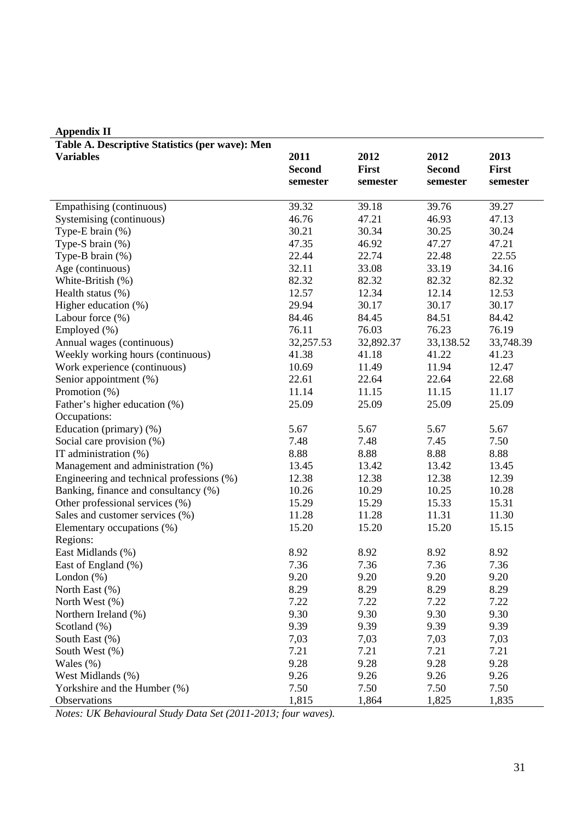| Table A. Descriptive Statistics (per wave): Men |               |           |               |           |
|-------------------------------------------------|---------------|-----------|---------------|-----------|
| <b>Variables</b>                                | 2011          | 2012      | 2012          | 2013      |
|                                                 | <b>Second</b> | First     | <b>Second</b> | First     |
|                                                 | semester      | semester  | semester      | semester  |
|                                                 |               |           |               |           |
| Empathising (continuous)                        | 39.32         | 39.18     | 39.76         | 39.27     |
| Systemising (continuous)                        | 46.76         | 47.21     | 46.93         | 47.13     |
| Type-E brain $(\%)$                             | 30.21         | 30.34     | 30.25         | 30.24     |
| Type-S brain $(\%)$                             | 47.35         | 46.92     | 47.27         | 47.21     |
| Type-B brain $(\%)$                             | 22.44         | 22.74     | 22.48         | 22.55     |
| Age (continuous)                                | 32.11         | 33.08     | 33.19         | 34.16     |
| White-British (%)                               | 82.32         | 82.32     | 82.32         | 82.32     |
| Health status (%)                               | 12.57         | 12.34     | 12.14         | 12.53     |
| Higher education (%)                            | 29.94         | 30.17     | 30.17         | 30.17     |
| Labour force (%)                                | 84.46         | 84.45     | 84.51         | 84.42     |
| Employed (%)                                    | 76.11         | 76.03     | 76.23         | 76.19     |
| Annual wages (continuous)                       | 32,257.53     | 32,892.37 | 33,138.52     | 33,748.39 |
| Weekly working hours (continuous)               | 41.38         | 41.18     | 41.22         | 41.23     |
| Work experience (continuous)                    | 10.69         | 11.49     | 11.94         | 12.47     |
| Senior appointment (%)                          | 22.61         | 22.64     | 22.64         | 22.68     |
| Promotion (%)                                   | 11.14         | 11.15     | 11.15         | 11.17     |
| Father's higher education (%)                   | 25.09         | 25.09     | 25.09         | 25.09     |
| Occupations:                                    |               |           |               |           |
| Education (primary) (%)                         | 5.67          | 5.67      | 5.67          | 5.67      |
| Social care provision (%)                       | 7.48          | 7.48      | 7.45          | 7.50      |
| IT administration (%)                           | 8.88          | 8.88      | 8.88          | 8.88      |
| Management and administration (%)               | 13.45         | 13.42     | 13.42         | 13.45     |
| Engineering and technical professions (%)       | 12.38         | 12.38     | 12.38         | 12.39     |
| Banking, finance and consultancy (%)            | 10.26         | 10.29     | 10.25         | 10.28     |
| Other professional services (%)                 | 15.29         | 15.29     | 15.33         | 15.31     |
| Sales and customer services (%)                 | 11.28         | 11.28     | 11.31         | 11.30     |
| Elementary occupations (%)                      | 15.20         | 15.20     | 15.20         | 15.15     |
| Regions:                                        |               |           |               |           |
| East Midlands (%)                               | 8.92          | 8.92      | 8.92          | 8.92      |
| East of England (%)                             | 7.36          | 7.36      | 7.36          | 7.36      |
|                                                 |               | 9.20      |               |           |
| London $(\%)$                                   | 9.20          |           | 9.20          | 9.20      |
| North East (%)                                  | 8.29          | 8.29      | 8.29          | 8.29      |
| North West (%)                                  | 7.22          | 7.22      | 7.22          | 7.22      |
| Northern Ireland (%)                            | 9.30          | 9.30      | 9.30          | 9.30      |
| Scotland $(\%)$                                 | 9.39          | 9.39      | 9.39          | 9.39      |
| South East (%)                                  | 7,03          | 7,03      | 7,03          | 7,03      |
| South West (%)                                  | 7.21          | 7.21      | 7.21          | 7.21      |
| Wales $(\%)$                                    | 9.28          | 9.28      | 9.28          | 9.28      |
| West Midlands (%)                               | 9.26          | 9.26      | 9.26          | 9.26      |
| Yorkshire and the Humber (%)                    | 7.50          | 7.50      | 7.50          | 7.50      |
| Observations                                    | 1,815         | 1,864     | 1,825         | 1,835     |

## **Appendix II**

*Notes: UK Behavioural Study Data Set (2011-2013; four waves).*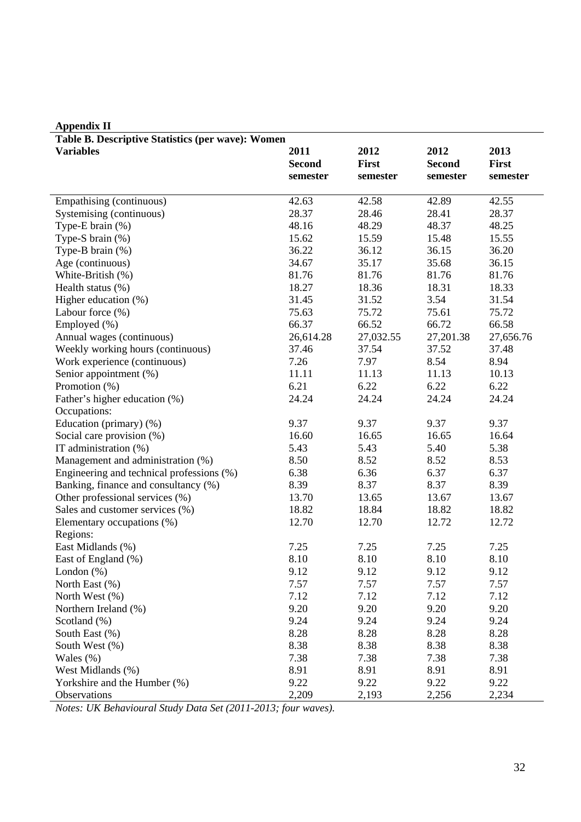| Table B. Descriptive Statistics (per wave): Women |               |           |               |           |
|---------------------------------------------------|---------------|-----------|---------------|-----------|
| <b>Variables</b>                                  | 2011          | 2012      | 2012          | 2013      |
|                                                   | <b>Second</b> | First     | <b>Second</b> | First     |
|                                                   | semester      | semester  | semester      | semester  |
|                                                   |               |           |               |           |
| Empathising (continuous)                          | 42.63         | 42.58     | 42.89         | 42.55     |
| Systemising (continuous)                          | 28.37         | 28.46     | 28.41         | 28.37     |
| Type-E brain $(\%)$                               | 48.16         | 48.29     | 48.37         | 48.25     |
| Type-S brain $(\%)$                               | 15.62         | 15.59     | 15.48         | 15.55     |
| Type-B brain (%)                                  | 36.22         | 36.12     | 36.15         | 36.20     |
| Age (continuous)                                  | 34.67         | 35.17     | 35.68         | 36.15     |
| White-British (%)                                 | 81.76         | 81.76     | 81.76         | 81.76     |
| Health status (%)                                 | 18.27         | 18.36     | 18.31         | 18.33     |
| Higher education (%)                              | 31.45         | 31.52     | 3.54          | 31.54     |
| Labour force $(\% )$                              | 75.63         | 75.72     | 75.61         | 75.72     |
| Employed (%)                                      | 66.37         | 66.52     | 66.72         | 66.58     |
| Annual wages (continuous)                         | 26,614.28     | 27,032.55 | 27,201.38     | 27,656.76 |
| Weekly working hours (continuous)                 | 37.46         | 37.54     | 37.52         | 37.48     |
| Work experience (continuous)                      | 7.26          | 7.97      | 8.54          | 8.94      |
| Senior appointment (%)                            | 11.11         | 11.13     | 11.13         | 10.13     |
| Promotion (%)                                     | 6.21          | 6.22      | 6.22          | 6.22      |
| Father's higher education (%)                     | 24.24         | 24.24     | 24.24         | 24.24     |
| Occupations:                                      |               |           |               |           |
| Education (primary) (%)                           | 9.37          | 9.37      | 9.37          | 9.37      |
| Social care provision (%)                         | 16.60         | 16.65     | 16.65         | 16.64     |
| IT administration (%)                             | 5.43          | 5.43      | 5.40          | 5.38      |
| Management and administration (%)                 | 8.50          | 8.52      | 8.52          | 8.53      |
| Engineering and technical professions (%)         | 6.38          | 6.36      | 6.37          | 6.37      |
| Banking, finance and consultancy (%)              | 8.39          | 8.37      | 8.37          | 8.39      |
| Other professional services (%)                   | 13.70         | 13.65     | 13.67         | 13.67     |
| Sales and customer services (%)                   | 18.82         | 18.84     | 18.82         | 18.82     |
| Elementary occupations (%)                        | 12.70         | 12.70     | 12.72         | 12.72     |
| Regions:                                          |               |           |               |           |
| East Midlands (%)                                 | 7.25          | 7.25      | 7.25          | 7.25      |
| East of England (%)                               | 8.10          | 8.10      | 8.10          | 8.10      |
| London $(\%)$                                     | 9.12          | 9.12      | 9.12          | 9.12      |
| North East (%)                                    | 7.57          | 7.57      | 7.57          | 7.57      |
| North West (%)                                    | 7.12          | 7.12      | 7.12          | 7.12      |
| Northern Ireland (%)                              | 9.20          | 9.20      | 9.20          | 9.20      |
| Scotland (%)                                      | 9.24          | 9.24      | 9.24          | 9.24      |
| South East (%)                                    | 8.28          | 8.28      | 8.28          | 8.28      |
| South West (%)                                    | 8.38          | 8.38      | 8.38          | 8.38      |
| Wales $(\%)$                                      | 7.38          | 7.38      | 7.38          | 7.38      |
| West Midlands (%)                                 | 8.91          | 8.91      | 8.91          | 8.91      |
| Yorkshire and the Humber (%)                      | 9.22          | 9.22      | 9.22          | 9.22      |
| Observations                                      | 2,209         | 2,193     | 2,256         | 2,234     |
|                                                   |               |           |               |           |

# **Appendix II**

*Notes: UK Behavioural Study Data Set (2011-2013; four waves).*